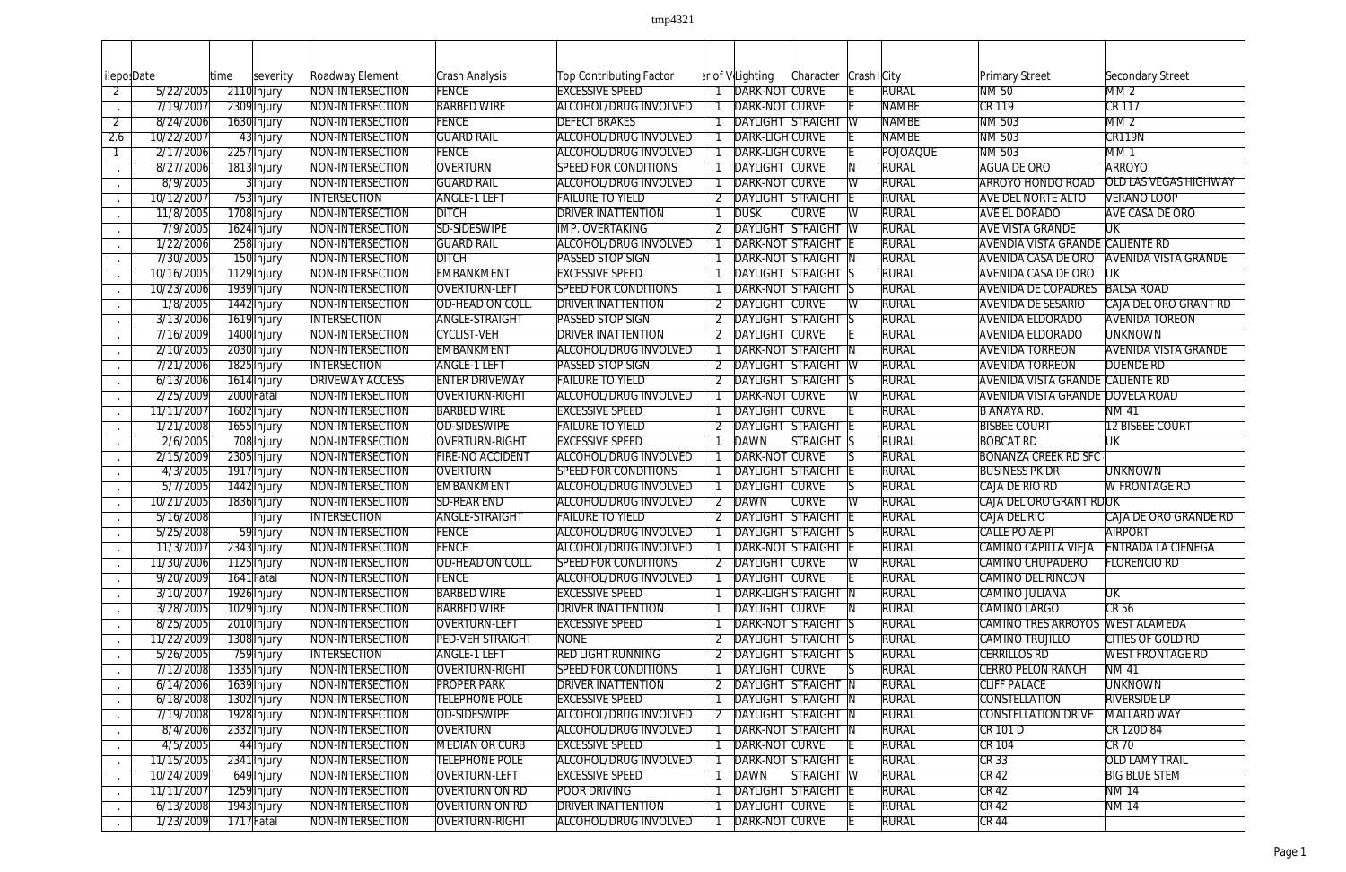| lileposDate    |            | time | severity      | Roadway Element        | Crash Analysis          | Top Contributing Factor      |   | er of V Lighting           | Character    | Crash   City          |                 | <b>Primary Street</b>                   | Secondary Street             |
|----------------|------------|------|---------------|------------------------|-------------------------|------------------------------|---|----------------------------|--------------|-----------------------|-----------------|-----------------------------------------|------------------------------|
| $\overline{2}$ | 5/22/2005  |      | 2110 Injury   | NON-INTERSECTION       | <b>FENCE</b>            | <b>EXCESSIVE SPEED</b>       |   | DARK-NOT CURVE             |              |                       | <b>RURAL</b>    | NM 50                                   | M <sub>M</sub>               |
|                | 7/19/2007  |      | 2309 Injury   | NON-INTERSECTION       | <b>BARBED WIRE</b>      | <b>ALCOHOL/DRUG INVOLVED</b> |   | DARK-NOT CURVE             |              |                       | <b>NAMBE</b>    | <b>CR 119</b>                           | <b>CR 117</b>                |
| $\overline{2}$ | 8/24/2006  |      | 1630 Injury   | NON-INTERSECTION       | <b>FENCE</b>            | <b>DEFECT BRAKES</b>         |   | <b>DAYLIGHT STRAIGHT W</b> |              |                       | <b>NAMBE</b>    | NM 503                                  | MM2                          |
| 2.6            | 10/22/2007 |      | 43 Injury     | NON-INTERSECTION       | <b>GUARD RAIL</b>       | <b>ALCOHOL/DRUG INVOLVED</b> |   | DARK-LIGH CURVE            |              |                       | <b>NAMBE</b>    | NM 503                                  | CR119N                       |
|                | 2/17/2006  |      | 2257 Injury   | NON-INTERSECTION       | <b>FENCE</b>            | <b>ALCOHOL/DRUG INVOLVED</b> |   | DARK-LIGHCURVE             |              |                       | <b>POJOAQUE</b> | NM 503                                  | MM <sub>1</sub>              |
|                | 8/27/2006  |      | 1813 Injury   | NON-INTERSECTION       | <b>OVERTURN</b>         | <b>SPEED FOR CONDITIONS</b>  |   | <b>DAYLIGHT CURVE</b>      |              |                       | <b>RURAL</b>    | <b>AGUA DE ORO</b>                      | <b>ARROYO</b>                |
|                | 8/9/2005   |      | 3 Injury      | NON-INTERSECTION       | <b>GUARD RAIL</b>       | <b>ALCOHOL/DRUG INVOLVED</b> |   | DARK-NOT CURVE             |              | İW                    | <b>RURAL</b>    | <b>ARROYO HONDO ROAD</b>                | <b>OLD LAS VEGAS HIGHWAY</b> |
|                | 10/12/2007 |      | 753 Injury    | <b>INTERSECTION</b>    | <b>ANGLE-1 LEFT</b>     | <b>FAILURE TO YIELD</b>      |   | <b>DAYLIGHT STRAIGHT</b>   |              |                       | <b>RURAL</b>    | <b>AVE DEL NORTE ALTO</b>               | <b>VERANO LOOP</b>           |
|                | 11/8/2005  |      | 1708 Injury   | NON-INTERSECTION       | <b>DITCH</b>            | <b>DRIVER INATTENTION</b>    |   | <b>DUSK</b>                | <b>CURVE</b> | W                     | <b>RURAL</b>    | <b>AVE EL DORADO</b>                    | <b>AVE CASA DE ORO</b>       |
|                | 7/9/2005   |      | 1624 Injury   | NON-INTERSECTION       | SD-SIDESWIPE            | <b>IMP. OVERTAKING</b>       |   | <b>DAYLIGHT STRAIGHT W</b> |              |                       | <b>RURAL</b>    | <b>AVE VISTA GRANDE</b>                 | UK                           |
|                | 1/22/2006  |      | 258 Injury    | NON-INTERSECTION       | <b>GUARD RAIL</b>       | <b>ALCOHOL/DRUG INVOLVED</b> |   | <b>DARK-NOT STRAIGHT</b>   |              |                       | <b>RURAL</b>    | <b>AVENDIA VISTA GRANDE CALIENTE RD</b> |                              |
|                | 7/30/2005  |      | 150 Injury    | NON-INTERSECTION       | <b>DITCH</b>            | PASSED STOP SIGN             |   | DARK-NOT STRAIGHT N        |              |                       | <b>RURAL</b>    | <b>AVENIDA CASA DE ORO</b>              | <b>AVENIDA VISTA GRANDE</b>  |
|                | 10/16/2005 |      | 1129 Injury   | NON-INTERSECTION       | EMBANKMENT              | <b>EXCESSIVE SPEED</b>       |   | <b>DAYLIGHT STRAIGHT S</b> |              |                       | <b>RURAL</b>    | <b>AVENIDA CASA DE ORO</b>              | TUK                          |
|                | 10/23/2006 |      | 1939 Injury   | NON-INTERSECTION       | <b>OVERTURN-LEFT</b>    | <b>SPEED FOR CONDITIONS</b>  |   | DARK-NOT STRAIGHT S        |              |                       | <b>RURAL</b>    | <b>AVENIDA DE COPADRES BALSA ROAD</b>   |                              |
|                | 1/8/2005   |      | 1442 Injury   | NON-INTERSECTION       | OD-HEAD ON COLL.        | <b>DRIVER INATTENTION</b>    |   | <b>DAYLIGHT CURVE</b>      |              | W                     | <b>RURAL</b>    | <b>AVENIDA DE SESARIO</b>               | CAJA DEL ORO GRANT RD        |
|                | 3/13/2006  |      | 1619 Injury   | <b>INTERSECTION</b>    | <b>ANGLE-STRAIGHT</b>   | PASSED STOP SIGN             |   | <b>DAYLIGHT STRAIGHT S</b> |              |                       | <b>RURAL</b>    | <b>AVENIDA ELDORADO</b>                 | <b>AVENIDA TOREON</b>        |
|                | 7/16/2009  |      | 1400 Injury   | NON-INTERSECTION       | <b>CYCLIST-VEH</b>      | <b>DRIVER INATTENTION</b>    |   | 2 DAYLIGHT CURVE           |              |                       | <b>RURAL</b>    | <b>AVENIDA ELDORADO</b>                 | <b>UNKNOWN</b>               |
|                | 2/10/2005  |      | 2030 Injury   | NON-INTERSECTION       | <b>EMBANKMENT</b>       | ALCOHOL/DRUG INVOLVED        |   | <b>DARK-NOT STRAIGHT N</b> |              |                       | <b>RURAL</b>    | <b>AVENIDA TORREON</b>                  | <b>AVENIDA VISTA GRANDE</b>  |
|                | 7/21/2006  |      | 1825 Injury   | <b>INTERSECTION</b>    | <b>ANGLE-1 LEFT</b>     | PASSED STOP SIGN             |   | DAYLIGHT STRAIGHT W        |              |                       | <b>RURAL</b>    | <b>AVENIDA TORREON</b>                  | <b>DUENDE RD</b>             |
|                | 6/13/2006  |      | 1614 Injury   | <b>DRIVEWAY ACCESS</b> | <b>ENTER DRIVEWAY</b>   | <b>FAILURE TO YIELD</b>      |   | DAYLIGHT STRAIGHT S        |              |                       | <b>RURAL</b>    | <b>AVENIDA VISTA GRANDE CALIENTE RD</b> |                              |
|                | 2/25/2009  |      | 2000 Fatal    | NON-INTERSECTION       | OVERTURN-RIGHT          | <b>ALCOHOL/DRUG INVOLVED</b> |   | DARK-NOT CURVE             |              | W                     | <b>RURAL</b>    | <b>AVENIDA VISTA GRANDE DOVELA ROAD</b> |                              |
|                | 11/11/2007 |      | 1602 Injury   | NON-INTERSECTION       | <b>BARBED WIRE</b>      | <b>EXCESSIVE SPEED</b>       |   | <b>DAYLIGHT CURVE</b>      |              |                       | <b>RURAL</b>    | <b>B ANAYA RD.</b>                      | <b>NM41</b>                  |
|                | 1/21/2008  |      | 1655 Injury   | NON-INTERSECTION       | <b>OD-SIDESWIPE</b>     | <b>FAILURE TO YIELD</b>      |   | <b>DAYLIGHT STRAIGHT</b>   |              |                       | <b>RURAL</b>    | <b>BISBEE COURT</b>                     | <b>12 BISBEE COURT</b>       |
|                | 2/6/2005   |      | 708 Injury    | NON-INTERSECTION       | OVERTURN-RIGHT          | <b>EXCESSIVE SPEED</b>       |   | DAWN                       | STRAIGHT S   |                       | <b>RURAL</b>    | <b>BOBCAT RD</b>                        | <b>UK</b>                    |
|                | 2/15/2009  |      | 2305 Injury   | NON-INTERSECTION       | FIRE-NO ACCIDENT        | <b>ALCOHOL/DRUG INVOLVED</b> |   | DARK-NOT                   | <b>CURVE</b> |                       | <b>RURAL</b>    | <b>BONANZA CREEK RD SFC</b>             |                              |
|                | 4/3/2005   |      | 1917 Injury   | NON-INTERSECTION       | <b>OVERTURN</b>         | <b>SPEED FOR CONDITIONS</b>  |   | <b>DAYLIGHT STRAIGHT</b>   |              |                       | <b>RURAL</b>    | <b>BUSINESS PK DR</b>                   | <b>UNKNOWN</b>               |
|                | 5/7/2005   |      | 1442 Injury   | NON-INTERSECTION       | EMBANKMENT              | <b>ALCOHOL/DRUG INVOLVED</b> |   | <b>DAYLIGHT CURVE</b>      |              |                       | <b>RURAL</b>    | CAJA DE RIO RD                          | <b>W FRONTAGE RD</b>         |
|                | 10/21/2005 |      | 1836 Injury   | NON-INTERSECTION       | <b>SD-REAR END</b>      | ALCOHOL/DRUG INVOLVED        | 2 | DAWN                       | <b>CURVE</b> | $\overline{\text{W}}$ | <b>RURAL</b>    | CAJA DEL ORO GRANT RDUK                 |                              |
|                | 5/16/2008  |      | <b>Injury</b> | <b>INTERSECTION</b>    | <b>ANGLE-STRAIGHT</b>   | <b>FAILURE TO YIELD</b>      |   | <b>DAYLIGHT STRAIGHT</b>   |              |                       | <b>RURAL</b>    | CAJA DEL RIO                            | CAJA DE ORO GRANDE RD        |
|                | 5/25/2008  |      | 59 Injury     | NON-INTERSECTION       | FENCE                   | <b>ALCOHOL/DRUG INVOLVED</b> |   | 1 DAYLIGHT STRAIGHT        |              |                       | <b>RURAL</b>    | CALLE PO AE PI                          | <b>AIRPORT</b>               |
|                | 11/3/2007  |      | 2343 Injury   | NON-INTERSECTION       | FENCE                   | ALCOHOL/DRUG INVOLVED        |   | DARK-NOT STRAIGHT          |              |                       | <b>RURAL</b>    | CAMINO CAPILLA VIEJA ENTRADA LA CIENEGA |                              |
|                | 11/30/2006 |      | 1125 Injury   | NON-INTERSECTION       | OD-HEAD ON COLL.        | <b>SPEED FOR CONDITIONS</b>  |   | 2 DAYLIGHT CURVE           |              | IW                    | <b>RURAL</b>    | CAMINO CHUPADERO                        | <b>FLORENCIO RD</b>          |
|                | 9/20/2009  |      | 1641 Fatal    | NON-INTERSECTION       | FENCE                   | <b>ALCOHOL/DRUG INVOLVED</b> |   | DAYLIGHT CURVE             |              |                       | <b>RURAL</b>    | CAMINO DEL RINCON                       |                              |
|                | 3/10/2007  |      | 1926 Injury   | NON-INTERSECTION       | <b>BARBED WIRE</b>      | <b>EXCESSIVE SPEED</b>       |   | DARK-LIGHSTRAIGHT          |              |                       | <b>RURAL</b>    | CAMINO JULIANA                          | <b>UK</b>                    |
|                | 3/28/2005  |      | 1029 Injury   | NON-INTERSECTION       | <b>BARBED WIRE</b>      | <b>DRIVER INATTENTION</b>    |   | DAYLIGHT CURVE             |              |                       | <b>RURAL</b>    | <b>CAMINO LARGO</b>                     | CR 56                        |
|                | 8/25/2005  |      | 2010 Injury   | NON-INTERSECTION       | OVERTURN-LEFT           | <b>EXCESSIVE SPEED</b>       |   | DARK-NOT STRAIGHT S        |              |                       | <b>RURAL</b>    | CAMINO TRES ARROYOS WEST ALAMEDA        |                              |
|                | 11/22/2009 |      | 1308 Injury   | NON-INTERSECTION       | <b>PED-VEH STRAIGHT</b> | <b>NONE</b>                  |   | 2 DAYLIGHT STRAIGHT S      |              |                       | <b>RURAL</b>    | CAMINO TRUJILLO                         | CITIES OF GOLD RD            |
|                | 5/26/2005  |      | 759 Injury    | <b>INTERSECTION</b>    | <b>ANGLE-1 LEFT</b>     | <b>RED LIGHT RUNNING</b>     |   | 2 DAYLIGHT STRAIGHT S      |              |                       | <b>RURAL</b>    | <b>CERRILLOS RD</b>                     | <b>WEST FRONTAGE RD</b>      |
|                | 7/12/2008  |      | 1335 Injury   | NON-INTERSECTION       | OVERTURN-RIGHT          | <b>SPEED FOR CONDITIONS</b>  |   | DAYLIGHT CURVE             |              |                       | <b>RURAL</b>    | <b>CERRO PELON RANCH</b>                | <b>NM 41</b>                 |
|                | 6/14/2006  |      | 1639 Injury   | NON-INTERSECTION       | <b>PROPER PARK</b>      | <b>DRIVER INATTENTION</b>    |   | 2 DAYLIGHT STRAIGHT N      |              |                       | <b>RURAL</b>    | <b>CLIFF PALACE</b>                     | <b>UNKNOWN</b>               |
|                | 6/18/2008  |      | 1302 Injury   | NON-INTERSECTION       | <b>TELEPHONE POLE</b>   | <b>EXCESSIVE SPEED</b>       |   | <b>DAYLIGHT STRAIGHT N</b> |              |                       | <b>RURAL</b>    | <b>CONSTELLATION</b>                    | <b>RIVERSIDE LP</b>          |
|                | 7/19/2008  |      | 1928 Injury   | NON-INTERSECTION       | <b>OD-SIDESWIPE</b>     | <b>ALCOHOL/DRUG INVOLVED</b> |   | 2 DAYLIGHT STRAIGHT N      |              |                       | <b>RURAL</b>    | <b>CONSTELLATION DRIVE</b>              | MALLARD WAY                  |
|                | 8/4/2006   |      | 2332 Injury   | NON-INTERSECTION       | OVERTURN                | <b>ALCOHOL/DRUG INVOLVED</b> |   | DARK-NOT STRAIGHT N        |              |                       | <b>RURAL</b>    | <b>CR 101 D</b>                         | CR 120D 84                   |
|                | 4/5/2005   |      | 44 Injury     | NON-INTERSECTION       | MEDIAN OR CURB          | <b>EXCESSIVE SPEED</b>       |   | DARK-NOT CURVE             |              |                       | <b>RURAL</b>    | CR 104                                  | CR70                         |
|                | 11/15/2005 |      | 2341 Injury   | NON-INTERSECTION       | <b>TELEPHONE POLE</b>   | <b>ALCOHOL/DRUG INVOLVED</b> |   | <b>DARK-NOT STRAIGHT</b>   |              |                       | <b>RURAL</b>    | CR33                                    | <b>OLD LAMY TRAIL</b>        |
|                | 10/24/2009 |      | 649 Injury    | NON-INTERSECTION       | OVERTURN-LEFT           | <b>EXCESSIVE SPEED</b>       |   | DAWN                       | STRAIGHT W   |                       | <b>RURAL</b>    | CR42                                    | <b>BIG BLUE STEM</b>         |
|                | 11/11/2007 |      | 1259 Injury   | NON-INTERSECTION       | <b>OVERTURN ON RD</b>   | <b>POOR DRIVING</b>          |   | <b>DAYLIGHT STRAIGHT E</b> |              |                       | <b>RURAL</b>    | $CR$ 42                                 | <b>NM 14</b>                 |
|                | 6/13/2008  |      | 1943 Injury   | NON-INTERSECTION       | <b>OVERTURN ON RD</b>   | <b>DRIVER INATTENTION</b>    |   | DAYLIGHT CURVE             |              |                       | <b>RURAL</b>    | CR42                                    | <b>NM14</b>                  |
|                | 1/23/2009  |      | 1717 Fatal    | NON-INTERSECTION       | <b>OVERTURN-RIGHT</b>   | ALCOHOL/DRUG INVOLVED        |   | DARK-NOT CURVE             |              |                       | <b>RURAL</b>    | CR44                                    |                              |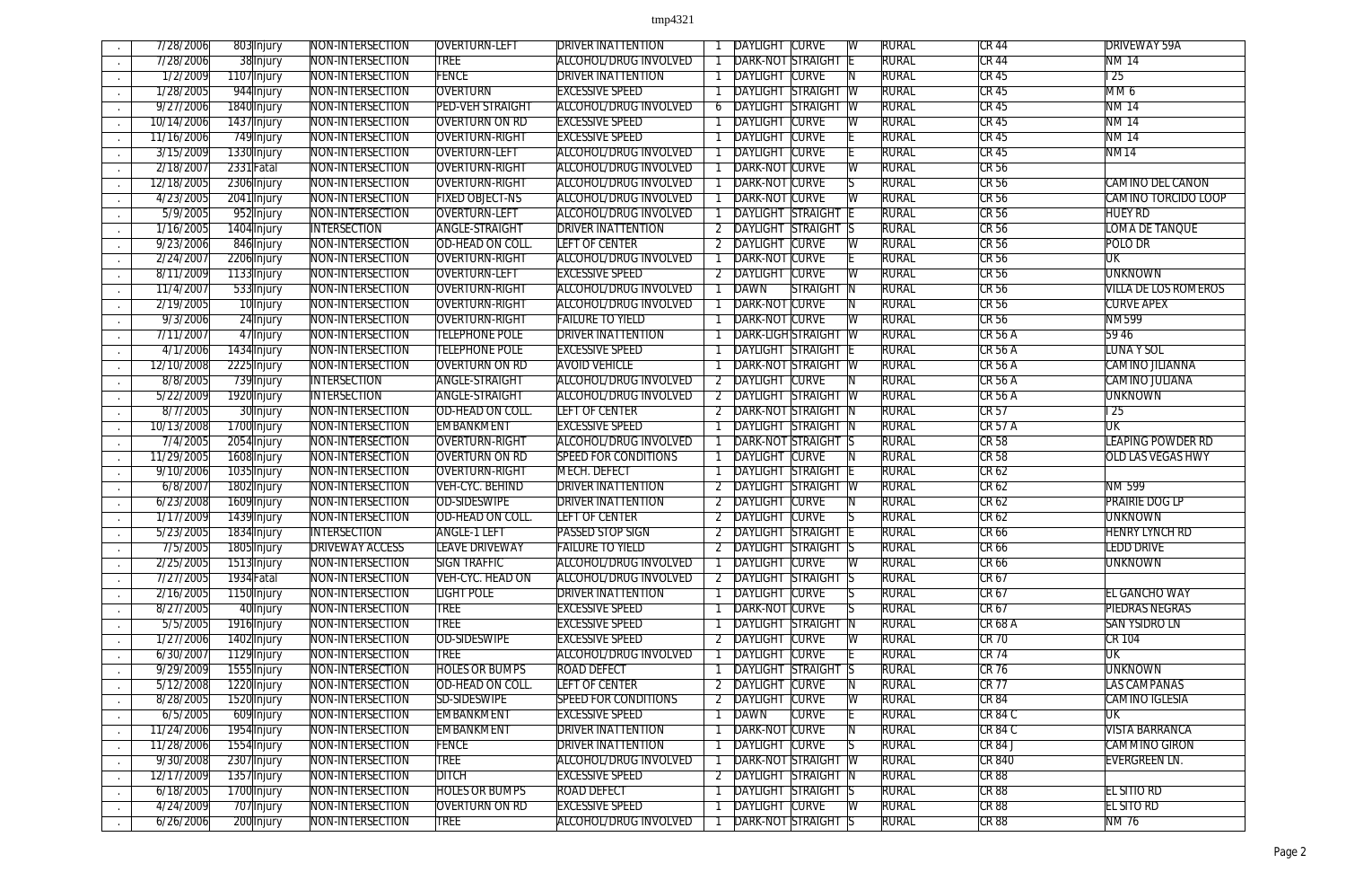| 7/28/2006  | 803 Injury  | <b>NON-INTERSECTION</b> | OVERTURN-LEFT           | <b>DRIVER INATTENTION</b>    |                | <b>DAYLIGHT CURVE</b>      |                 |                         | <b>RURAL</b> | CR 44          | <b>DRIVEWAY 59A</b>         |
|------------|-------------|-------------------------|-------------------------|------------------------------|----------------|----------------------------|-----------------|-------------------------|--------------|----------------|-----------------------------|
| 7/28/2006  | 38 Injury   | NON-INTERSECTION        | <b>TREE</b>             | <b>ALCOHOL/DRUG INVOLVED</b> |                | <b>DARK-NOT</b>            | STRAIGHT        |                         | <b>RURAL</b> | <b>CR 44</b>   | <b>NM14</b>                 |
| 1/2/2009   | 1107 Injury | NON-INTERSECTION        | <b>FENCE</b>            | <b>DRIVER INATTENTION</b>    |                | <b>DAYLIGHT CURVE</b>      |                 |                         | <b>RURAL</b> | <b>CR 45</b>   | $\overline{25}$             |
| 1/28/2005  | 944 Injury  | NON-INTERSECTION        | <b>OVERTURN</b>         | <b>EXCESSIVE SPEED</b>       |                | <b>DAYLIGHT STRAIGHT</b>   |                 | $\overline{\mathsf{w}}$ | <b>RURAL</b> | <b>CR 45</b>   | MM <sub>6</sub>             |
| 9/27/2006  | 1840 Injury | NON-INTERSECTION        | <b>PED-VEH STRAIGHT</b> | ALCOHOL/DRUG INVOLVED        | 6              | <b>DAYLIGHT STRAIGHT</b>   |                 | $\overline{\mathsf{W}}$ | <b>RURAL</b> | <b>CR 45</b>   | <b>NM 14</b>                |
| 10/14/2006 |             | NON-INTERSECTION        | <b>OVERTURN ON RD</b>   | <b>EXCESSIVE SPEED</b>       |                | <b>DAYLIGHT CURVE</b>      |                 |                         | <b>RURAL</b> | <b>CR 45</b>   | <b>NM14</b>                 |
|            | 1437 Injury |                         |                         |                              |                |                            |                 |                         |              |                |                             |
| 11/16/2006 | 749 Injury  | NON-INTERSECTION        | <b>OVERTURN-RIGHT</b>   | <b>EXCESSIVE SPEED</b>       |                | <b>DAYLIGHT CURVE</b>      |                 |                         | <b>RURAL</b> | <b>CR 45</b>   | <b>NM14</b>                 |
| 3/15/2009  | 1330 Injury | NON-INTERSECTION        | <b>OVERTURN-LEFT</b>    | ALCOHOL/DRUG INVOLVED        |                | <b>DAYLIGHT CURVE</b>      |                 |                         | <b>RURAL</b> | CR45           | NM <sub>14</sub>            |
| 2/18/2007  | 2331 Fatal  | NON-INTERSECTION        | OVERTURN-RIGHT          | ALCOHOL/DRUG INVOLVED        |                | DARK-NOT CURVE             |                 | W                       | <b>RURAL</b> | CR56           |                             |
| 12/18/2005 | 2306 Injury | NON-INTERSECTION        | OVERTURN-RIGHT          | <b>ALCOHOL/DRUG INVOLVED</b> |                | <b>DARK-NOT CURVE</b>      |                 |                         | rural        | <b>CR 56</b>   | <b>CAMINO DEL CANON</b>     |
| 4/23/2005  | 2041 Injury | NON-INTERSECTION        | <b>FIXED OBJECT-NS</b>  | <b>ALCOHOL/DRUG INVOLVED</b> |                | <b>DARK-NOT CURVE</b>      |                 |                         | <b>RURAL</b> | <b>CR 56</b>   | <b>CAMINO TORCIDO LOOP</b>  |
| 5/9/2005   | 952 Injury  | NON-INTERSECTION        | <b>OVERTURN-LEFT</b>    | <b>ALCOHOL/DRUG INVOLVED</b> |                | <b>DAYLIGHT STRAIGHT</b>   |                 |                         | <b>RURAL</b> | $CR$ 56        | <b>HUEY RD</b>              |
| 1/16/2005  | 1404 Injury | <b>INTERSECTION</b>     | <b>ANGLE-STRAIGHT</b>   | <b>DRIVER INATTENTION</b>    |                | <b>DAYLIGHT STRAIGHT S</b> |                 |                         | <b>RURAL</b> | CR56           | <b>LOMA DE TANQUE</b>       |
| 9/23/2006  | 846 Injury  | NON-INTERSECTION        | OD-HEAD ON COLL.        | <b>LEFT OF CENTER</b>        |                | <b>DAYLIGHT CURVE</b>      |                 |                         | <b>RURAL</b> | CR56           | POLO DR                     |
| 2/24/2007  | 2206 Injury | NON-INTERSECTION        | <b>OVERTURN-RIGHT</b>   | ALCOHOL/DRUG INVOLVED        |                | DARK-NOT CURVE             |                 |                         | <b>RURAL</b> | <b>CR 56</b>   | <b>UK</b>                   |
| 8/11/2009  | 1133 Injury | NON-INTERSECTION        | OVERTURN-LEFT           | <b>EXCESSIVE SPEED</b>       |                | <b>DAYLIGHT CURVE</b>      |                 |                         | <b>RURAL</b> | <b>CR 56</b>   | <b>UNKNOWN</b>              |
| 11/4/2007  | 533 Injury  | NON-INTERSECTION        | <b>OVERTURN-RIGHT</b>   | <b>ALCOHOL/DRUG INVOLVED</b> |                | <b>DAWN</b>                | <b>STRAIGHT</b> |                         | <b>RURAL</b> | <b>CR 56</b>   | <b>VILLA DE LOS ROMEROS</b> |
| 2/19/2005  | 10 Injury   | NON-INTERSECTION        | <b>OVERTURN-RIGHT</b>   | ALCOHOL/DRUG INVOLVED        |                | DARK-NOT CURVE             |                 |                         | <b>RURAL</b> | <b>CR 56</b>   | <b>CURVE APEX</b>           |
| 9/3/2006   | 24 Injury   | NON-INTERSECTION        | OVERTURN-RIGHT          | <b>FAILURE TO YIELD</b>      |                | <b>DARK-NOT CURVE</b>      |                 | $\overline{\mathsf{W}}$ | <b>RURAL</b> | <b>CR 56</b>   | <b>NM599</b>                |
| 7/11/2007  | 47 Injury   | NON-INTERSECTION        | <b>TELEPHONE POLE</b>   | <b>DRIVER INATTENTION</b>    |                | DARK-LIGH STRAIGHT         |                 | -W                      | <b>RURAL</b> | <b>CR 56 A</b> | 59 46                       |
| 4/1/2006   | 1434 Injury | NON-INTERSECTION        | <b>TELEPHONE POLE</b>   | <b>EXCESSIVE SPEED</b>       |                | <b>DAYLIGHT STRAIGHT</b>   |                 |                         | <b>RURAL</b> | <b>CR 56 A</b> | <b>LUNA Y SOL</b>           |
| 12/10/2008 | 2225 Injury | NON-INTERSECTION        | <b>OVERTURN ON RD</b>   | <b>AVOID VEHICLE</b>         |                | <b>DARK-NOT STRAIGHT</b>   |                 | -IW                     | <b>RURAL</b> | <b>CR 56 A</b> | CAMINO JILIANNA             |
| 8/8/2005   | 739 Injury  | <b>INTERSECTION</b>     | <b>ANGLE-STRAIGHT</b>   | ALCOHOL/DRUG INVOLVED        |                | <b>DAYLIGHT CURVE</b>      |                 |                         | <b>RURAL</b> | <b>CR 56 A</b> | CAMINO JULIANA              |
| 5/22/2009  | 1920 Injury | <b>INTERSECTION</b>     | <b>ANGLE-STRAIGHT</b>   | ALCOHOL/DRUG INVOLVED        |                | <b>DAYLIGHT STRAIGHT</b>   |                 | -W                      | <b>RURAL</b> | <b>CR 56 A</b> | <b>UNKNOWN</b>              |
| 8/7/2005   | 30 Injury   | NON-INTERSECTION        | OD-HEAD ON COLL.        | LEFT OF CENTER               |                | DARK-NOT STRAIGHT          |                 |                         | <b>RURAL</b> | <b>CR 57</b>   | $\overline{25}$             |
| 10/13/2008 | 1700 Injury | NON-INTERSECTION        | <b>EMBANKMENT</b>       | <b>EXCESSIVE SPEED</b>       |                | DAYLIGHT STRAIGHT N        |                 |                         | <b>RURAL</b> | <b>CR 57 A</b> | $\overline{\text{UK}}$      |
| 7/4/2005   | 2054 Injury | NON-INTERSECTION        | <b>OVERTURN-RIGHT</b>   | <b>ALCOHOL/DRUG INVOLVED</b> |                | <b>DARK-NOT STRAIGHT</b>   |                 |                         | rural        | <b>CR 58</b>   | <b>LEAPING POWDER RD</b>    |
| 11/29/2005 |             | NON-INTERSECTION        | OVERTURN ON RD          | <b>SPEED FOR CONDITIONS</b>  |                | <b>DAYLIGHT CURVE</b>      |                 |                         | <b>RURAL</b> | <b>CR 58</b>   | <b>OLD LAS VEGAS HWY</b>    |
|            | 1608 Injury | NON-INTERSECTION        | OVERTURN-RIGHT          | MECH. DEFECT                 |                | <b>DAYLIGHT STRAIGHT</b>   |                 |                         | <b>RURAL</b> | CR62           |                             |
| 9/10/2006  | 1035 Injury |                         |                         |                              |                |                            |                 |                         |              |                |                             |
| 6/8/200    | 1802 Injury | NON-INTERSECTION        | VEH-CYC. BEHIND         | <b>DRIVER INATTENTION</b>    |                | DAYLIGHT STRAIGHT          |                 | -W                      | <b>RURAL</b> | CR62           | NM 599                      |
| 6/23/2008  | 1609 Injury | NON-INTERSECTION        | <b>OD-SIDESWIPE</b>     | <b>DRIVER INATTENTION</b>    | 2              | <b>DAYLIGHT CURVE</b>      |                 |                         | <b>RURAL</b> | CR62           | <b>PRAIRIE DOG LP</b>       |
| 1/17/2009  | 1439 Injury | NON-INTERSECTION        | OD-HEAD ON COLL.        | <b>LEFT OF CENTER</b>        | 2              | <b>DAYLIGHT CURVE</b>      |                 |                         | <b>RURAL</b> | CR62           | UNKNOWN                     |
| 5/23/2005  | 1834 Injury | <b>INTERSECTION</b>     | <b>ANGLE-1 LEFT</b>     | PASSED STOP SIGN             |                | DAYLIGHT STRAIGHT          |                 |                         | <b>RURAL</b> | CR66           | <b>HENRY LYNCH RD</b>       |
| 7/5/2005   | 1805 Injury | <b>DRIVEWAY ACCESS</b>  | <b>LEAVE DRIVEWAY</b>   | <b>FAILURE TO YIELD</b>      |                | <b>DAYLIGHT STRAIGHT S</b> |                 |                         | <b>RURAL</b> | CR 66          | <b>LEDD DRIVE</b>           |
| 2/25/2005  | 1513 Injury | NON-INTERSECTION        | <b>SIGN TRAFFIC</b>     | ALCOHOL/DRUG INVOLVED        |                | DAYLIGHT CURVE             |                 | -W                      | <b>RURAL</b> | <b>CR 66</b>   | <b>UNKNOWN</b>              |
| 7/27/2005  | 1934 Fatal  | NON-INTERSECTION        | VEH-CYC. HEAD ON        | ALCOHOL/DRUG INVOLVED        |                | <b>DAYLIGHT STRAIGHT S</b> |                 |                         | <b>RURAL</b> | CR67           |                             |
| 2/16/2005  | 1150 Injury | NON-INTERSECTION        | <b>LIGHT POLE</b>       | <b>DRIVER INATTENTION</b>    |                | <b>DAYLIGHT CURVE</b>      |                 |                         | <b>RURAL</b> | <b>CR 67</b>   | <b>EL GANCHO WAY</b>        |
| 8/27/2005  | 40 Injury   | NON-INTERSECTION        | <b>TREE</b>             | <b>EXCESSIVE SPEED</b>       |                | DARK-NOT CURVE             |                 |                         | <b>RURAL</b> | CR67           | <b>PIEDRAS NEGRAS</b>       |
| 5/5/2005   | 1916 Injury | NON-INTERSECTION        | <b>TREE</b>             | <b>EXCESSIVE SPEED</b>       |                | <b>DAYLIGHT STRAIGHT</b>   |                 | -N                      | <b>RURAL</b> | CR68A          | <b>SAN YSIDRO LN</b>        |
| 1/27/2006  | 1402 Injury | NON-INTERSECTION        | <b>OD-SIDESWIPE</b>     | <b>EXCESSIVE SPEED</b>       |                | <b>DAYLIGHT CURVE</b>      |                 | W                       | <b>RURAL</b> | <b>CR 70</b>   | <b>CR 104</b>               |
| 6/30/2007  | 1129 Injury | NON-INTERSECTION        | <b>TREE</b>             | ALCOHOL/DRUG INVOLVED        |                | <b>DAYLIGHT CURVE</b>      |                 |                         | <b>RURAL</b> | <b>CR 74</b>   | <b>UK</b>                   |
| 9/29/2009  | 1555 Injury | NON-INTERSECTION        | <b>HOLES OR BUMPS</b>   | ROAD DEFECT                  |                | <b>DAYLIGHT STRAIGHT</b>   |                 | - IS                    | <b>RURAL</b> | CR76           | <b>UNKNOWN</b>              |
| 5/12/2008  | 1220 Injury | NON-INTERSECTION        | OD-HEAD ON COLL.        | <b>LEFT OF CENTER</b>        |                | DAYLIGHT CURVE             |                 |                         | <b>RURAL</b> | <b>CR 77</b>   | <b>LAS CAMPANAS</b>         |
| 8/28/2005  | 1520 Injury | NON-INTERSECTION        | <b>SD-SIDESWIPE</b>     | <b>SPEED FOR CONDITIONS</b>  |                | <b>DAYLIGHT CURVE</b>      |                 | W                       | <b>RURAL</b> | CR 84          | <b>CAMINO IGLESIA</b>       |
| 6/5/2005   | 609 Injury  | NON-INTERSECTION        | EMBANKMENT              | <b>EXCESSIVE SPEED</b>       |                | DAWN                       | <b>CURVE</b>    |                         | <b>RURAL</b> | $CR$ 84 $C$    | UK                          |
| 11/24/2006 | 1954 Injury | NON-INTERSECTION        | <b>EMBANKMENT</b>       | <b>DRIVER INATTENTION</b>    |                | DARK-NOT CURVE             |                 |                         | <b>RURAL</b> | $CR$ 84 $C$    | <b>VISTA BARRANCA</b>       |
| 11/28/2006 | 1554 Injury | NON-INTERSECTION        | <b>FENCE</b>            | <b>DRIVER INATTENTION</b>    |                | DAYLIGHT CURVE             |                 |                         | <b>RURAL</b> | CR84J          | CAMMINO GIRON               |
| 9/30/2008  | 2307 Injury | NON-INTERSECTION        | <b>TREE</b>             | ALCOHOL/DRUG INVOLVED        |                | <b>DARK-NOT STRAIGHT W</b> |                 |                         | <b>RURAL</b> | <b>CR 840</b>  | <b>EVERGREEN LN.</b>        |
| 12/17/2009 | 1357 Injury | NON-INTERSECTION        | <b>DITCH</b>            | <b>EXCESSIVE SPEED</b>       | $\overline{2}$ | <b>DAYLIGHT STRAIGHT N</b> |                 |                         | <b>RURAL</b> | CRB8           |                             |
| 6/18/2005  | 1700 Injury | NON-INTERSECTION        | <b>HOLES OR BUMPS</b>   | <b>ROAD DEFECT</b>           |                | DAYLIGHT STRAIGHT S        |                 |                         | <b>RURAL</b> | CR 88          | <b>EL SITIO RD</b>          |
| 4/24/2009  | 707 Injury  | NON-INTERSECTION        | <b>OVERTURN ON RD</b>   | <b>EXCESSIVE SPEED</b>       |                | DAYLIGHT CURVE             |                 | IW.                     | <b>RURAL</b> | CR 88          | <b>EL SITO RD</b>           |
| 6/26/2006  | 200 Injury  | NON-INTERSECTION        | <b>TREE</b>             | ALCOHOL/DRUG INVOLVED        |                | <b>DARK-NOT STRAIGHT S</b> |                 |                         | <b>RURAL</b> | CR 88          | <b>NM76</b>                 |
|            |             |                         |                         |                              |                |                            |                 |                         |              |                |                             |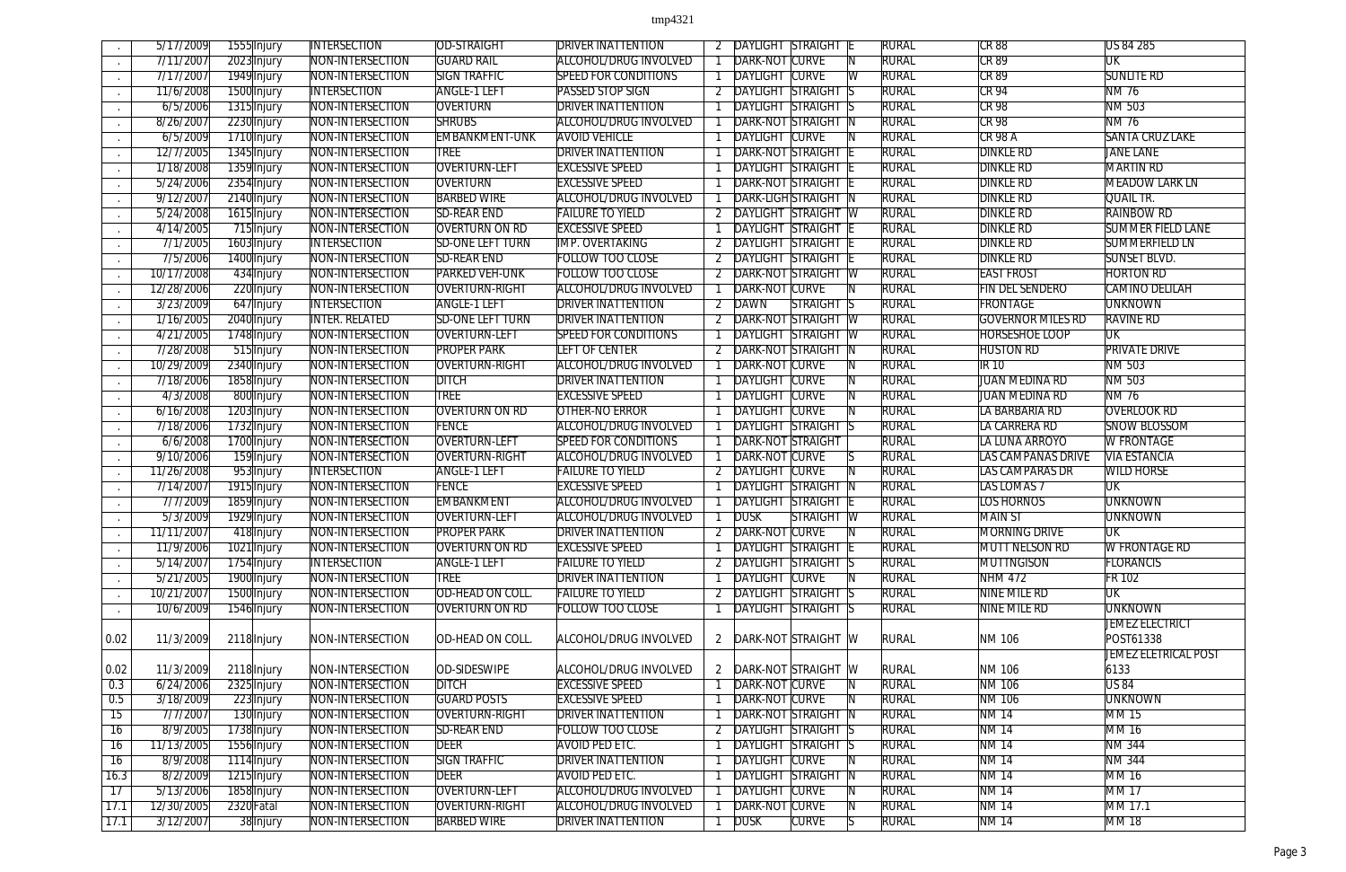|                         | 5/17/2009            | 1555 Injury | <b>INTERSECTION</b>                  | <b>OD-STRAIGHT</b>      | <b>DRIVER INATTENTION</b>    |                | <b>DAYLIGHT STRAIGHT</b>   |                   |                         | <b>RURAL</b>                 | <b>CR 88</b>              | US 84 285                   |
|-------------------------|----------------------|-------------|--------------------------------------|-------------------------|------------------------------|----------------|----------------------------|-------------------|-------------------------|------------------------------|---------------------------|-----------------------------|
| $\sim$                  | 7/11/2007            | 2023 Injury | NON-INTERSECTION                     | <b>GUARD RAIL</b>       | ALCOHOL/DRUG INVOLVED        |                | DARK-NOT CURVE             |                   |                         | <b>RURAL</b>                 | <b>CR 89</b>              | UK                          |
| $\sim$                  | 7/17/2007            | 1949 Injury | NON-INTERSECTION                     | <b>SIGN TRAFFIC</b>     | <b>SPEED FOR CONDITIONS</b>  |                | <b>DAYLIGHT CURVE</b>      |                   | $\overline{\mathsf{W}}$ | <b>RURAL</b>                 | <b>CR 89</b>              | <b>SUNLITE RD</b>           |
|                         | 11/6/2008            | 1500 Injury | <b>INTERSECTION</b>                  | <b>ANGLE-1 LEFT</b>     | <b>PASSED STOP SIGN</b>      |                | <b>DAYLIGHT STRAIGHT</b>   |                   |                         | <b>RURAL</b>                 | <b>CR 94</b>              | <b>NM76</b>                 |
| $\sim$                  | 6/5/2006             | 1315 Injury | NON-INTERSECTION                     | <b>OVERTURN</b>         | <b>DRIVER INATTENTION</b>    |                | <b>DAYLIGHT STRAIGHT</b>   |                   |                         | <b>RURAL</b>                 | <b>CR 98</b>              | <b>NM 503</b>               |
| $\sim$                  | 8/26/2007            | 2230 Injury | NON-INTERSECTION                     | <b>SHRUBS</b>           | ALCOHOL/DRUG INVOLVED        |                | <b>DARK-NOT STRAIGHT</b>   |                   | -IN                     | <b>RURAL</b>                 | <b>CR 98</b>              | <b>NM76</b>                 |
| $\sim$                  | 6/5/2009             | 1710 Injury | NON-INTERSECTION                     | <b>EMBANKMENT-UNK</b>   | <b>AVOID VEHICLE</b>         |                | <b>DAYLIGHT CURVE</b>      |                   |                         | <b>RURAL</b>                 | <b>CR 98 A</b>            | <b>SANTA CRUZ LAKE</b>      |
| $\sim$                  | 12/7/2005            | 1345 Injury | NON-INTERSECTION                     | TREE                    | <b>DRIVER INATTENTION</b>    |                | <b>DARK-NOT STRAIGHT</b>   |                   |                         | rural                        | <b>DINKLE RD</b>          | <b>JANE LANE</b>            |
|                         | 1/18/2008            | 1359 Injury | NON-INTERSECTION                     | OVERTURN-LEFT           | <b>EXCESSIVE SPEED</b>       |                | <b>DAYLIGHT STRAIGHT</b>   |                   |                         | <b>RURAL</b>                 | <b>DINKLE RD</b>          | <b>MARTIN RD</b>            |
| $\sim$                  | 5/24/2006            | 2354 Injury | NON-INTERSECTION                     | <b>OVERTURN</b>         | <b>EXCESSIVE SPEED</b>       |                | <b>DARK-NOT STRAIGHT</b>   |                   |                         | <b>RURAL</b>                 | <b>DINKLE RD</b>          | <b>MEADOW LARK LN</b>       |
| $\sim$                  | 9/12/2007            | 2140 Injury | NON-INTERSECTION                     | <b>BARBED WIRE</b>      | <b>ALCOHOL/DRUG INVOLVED</b> |                | <b>DARK-LIGH STRAIGHT</b>  |                   |                         | <b>RURAL</b>                 | <b>DINKLE RD</b>          | <b>QUAIL TR.</b>            |
| $\sim$                  | 5/24/2008            | 1615 Injury | NON-INTERSECTION                     | <b>SD-REAR END</b>      | <b>FAILURE TO YIELD</b>      |                | DAYLIGHT STRAIGHT W        |                   |                         | <b>RURAL</b>                 | <b>DINKLE RD</b>          | <b>RAINBOW RD</b>           |
| $\sim$                  | 4/14/2005            | 715 Injury  | NON-INTERSECTION                     | <b>OVERTURN ON RD</b>   | <b>EXCESSIVE SPEED</b>       |                | DAYLIGHT STRAIGHT          |                   |                         | <b>RURAL</b>                 | <b>DINKLE RD</b>          | <b>SUMMER FIELD LANE</b>    |
| $\sim$                  | 7/1/2005             | 1603 Injury | <b>INTERSECTION</b>                  | <b>SD-ONE LEFT TURN</b> | <b>IMP. OVERTAKING</b>       |                | <b>DAYLIGHT STRAIGHT</b>   |                   |                         | <b>RURAL</b>                 | <b>DINKLE RD</b>          | <b>SUMMERFIELD LN</b>       |
|                         | 7/5/2006             | 1400 Injury | NON-INTERSECTION                     | <b>SD-REAR END</b>      | <b>FOLLOW TOO CLOSE</b>      |                | DAYLIGHT STRAIGHT          |                   |                         | <b>RURAL</b>                 | <b>DINKLE RD</b>          | <b>SUNSET BLVD.</b>         |
| $\sim$                  | 10/17/2008           | 434 Injury  | NON-INTERSECTION                     | <b>PARKED VEH-UNK</b>   | <b>FOLLOW TOO CLOSE</b>      |                | <b>DARK-NOT STRAIGHT</b>   |                   | $\overline{\mathbb{W}}$ | <b>RURAL</b>                 | <b>EAST FROST</b>         | <b>HORTON RD</b>            |
| $\sim$                  | 12/28/2006           | 220 Injury  | NON-INTERSECTION                     | <b>OVERTURN-RIGHT</b>   | ALCOHOL/DRUG INVOLVED        |                | <b>DARK-NOT CURVE</b>      |                   |                         | <b>RURAL</b>                 | <b>FIN DEL SENDERO</b>    | <b>CAMINO DELILAH</b>       |
| $\sim$                  | 3/23/2009            | 647 Injury  | <b>INTERSECTION</b>                  | <b>ANGLE-1 LEFT</b>     | <b>DRIVER INATTENTION</b>    |                | <b>DAWN</b>                | <b>STRAIGHT</b>   | IS.                     | <b>RURAL</b>                 | <b>FRONTAGE</b>           | <b>UNKNOWN</b>              |
| $\sim$                  | 1/16/2005            | 2040 Injury | <b>INTER. RELATED</b>                | <b>SD-ONE LEFT TURN</b> | <b>DRIVER INATTENTION</b>    |                | DARK-NOT STRAIGHT          |                   |                         | <b>RURAL</b>                 | <b>GOVERNOR MILES RD</b>  | <b>RAVINE RD</b>            |
| $\sim$                  | 4/21/2005            | 1748 Injury | NON-INTERSECTION                     | <b>OVERTURN-LEFT</b>    | <b>SPEED FOR CONDITIONS</b>  |                | <b>DAYLIGHT STRAIGHT W</b> |                   |                         | <b>RURAL</b>                 | <b>HORSESHOE LOOP</b>     | $\overline{\text{UK}}$      |
| $\sim$                  | 7/28/2008            | 515 Injury  | NON-INTERSECTION                     | <b>PROPER PARK</b>      | <b>LEFT OF CENTER</b>        |                | DARK-NOT STRAIGHT          |                   | -IN                     | <b>RURAL</b>                 | <b>HUSTON RD</b>          | <b>PRIVATE DRIVE</b>        |
|                         | 10/29/2009           | 2340 Injury | NON-INTERSECTION                     | OVERTURN-RIGHT          | ALCOHOL/DRUG INVOLVED        |                | <b>DARK-NOT CURVE</b>      |                   |                         | <b>RURAL</b>                 | <b>IR10</b>               | NM 503                      |
|                         | 7/18/2006            | 1858 Injury | NON-INTERSECTION                     | <b>DITCH</b>            | <b>DRIVER INATTENTION</b>    |                | <b>DAYLIGHT CURVE</b>      |                   |                         | <b>RURAL</b>                 | <b>JUAN MEDINA RD</b>     | NM 503                      |
| $\sim$                  | 4/3/2008             | 800 Injury  | NON-INTERSECTION                     | <b>TREE</b>             | <b>EXCESSIVE SPEED</b>       |                | <b>DAYLIGHT CURVE</b>      |                   |                         | <b>RURAL</b>                 | <b>JUAN MEDINA RD</b>     | <b>NM76</b>                 |
|                         | 6/16/2008            | 1203 Injury | NON-INTERSECTION                     | <b>OVERTURN ON RD</b>   | OTHER-NO ERROR               |                | <b>DAYLIGHT CURVE</b>      |                   |                         | <b>RURAL</b>                 | LA BARBARIA RD            | <b>OVERLOOK RD</b>          |
| $\sim$                  | 7/18/2006            | 1732 Injury | NON-INTERSECTION                     | <b>FENCE</b>            | ALCOHOL/DRUG INVOLVED        |                | <b>DAYLIGHT STRAIGHT</b>   |                   |                         | <b>RURAL</b>                 | LA CARRERA RD             | <b>SNOW BLOSSOM</b>         |
|                         | 6/6/2008             | 1700 Injury | NON-INTERSECTION                     | <b>OVERTURN-LEFT</b>    | <b>SPEED FOR CONDITIONS</b>  |                | DARK-NOT STRAIGHT          |                   |                         | <b>RURAL</b>                 | LA LUNA ARROYO            | <b>W FRONTAGE</b>           |
| $\sim$                  | 9/10/2006            | 159 Injury  | NON-INTERSECTION                     | OVERTURN-RIGHT          | ALCOHOL/DRUG INVOLVED        |                | DARK-NOT CURVE             |                   |                         | <b>RURAL</b>                 | <b>LAS CAMPANAS DRIVE</b> | <b>VIA ESTANCIA</b>         |
| $\sim$                  | 11/26/2008           | 953 Injury  | <b>INTERSECTION</b>                  | <b>ANGLE-1 LEFT</b>     | <b>FAILURE TO YIELD</b>      |                | DAYLIGHT CURVE             |                   |                         | <b>RURAL</b>                 | LAS CAMPARAS DR           | <b>WILD HORSE</b>           |
| $\sim$                  | 7/14/2007            | 1915 Injury | NON-INTERSECTION                     | <b>FENCE</b>            | <b>EXCESSIVE SPEED</b>       |                | DAYLIGHT STRAIGHT          |                   |                         | <b>RURAL</b>                 | <b>LAS LOMAS 7</b>        | $\overline{\text{UK}}$      |
|                         | 7/7/2009             | 1859 Injury | NON-INTERSECTION                     | <b>EMBANKMENT</b>       | ALCOHOL/DRUG INVOLVED        |                | <b>DAYLIGHT STRAIGHT</b>   |                   |                         | <b>RURAL</b>                 | <b>LOS HORNOS</b>         | <b>UNKNOWN</b>              |
|                         | 5/3/2009             | 1929 Injury | NON-INTERSECTION                     | <b>OVERTURN-LEFT</b>    | ALCOHOL/DRUG INVOLVED        |                | <b>DUSK</b>                | <b>STRAIGHT W</b> |                         | <b>RURAL</b>                 | <b>MAIN ST</b>            | <b>UNKNOWN</b>              |
|                         | 11/11/2007           | 418 Injury  | NON-INTERSECTION                     | <b>PROPER PARK</b>      | <b>DRIVER INATTENTION</b>    | $\overline{2}$ | DARK-NOT CURVE             |                   |                         | RURAL                        | MORNING DRIVE             | <b>UK</b>                   |
|                         | 11/9/2006            | 1021 Injury | NON-INTERSECTION                     | <b>OVERTURN ON RD</b>   | <b>EXCESSIVE SPEED</b>       |                | <b>DAYLIGHT STRAIGHT</b>   |                   |                         | <b>RURAL</b>                 | <b>MUTT NELSON RD</b>     | <b>W FRONTAGE RD</b>        |
|                         | 5/14/2007            | 1754 Injury | <b>INTERSECTION</b>                  | <b>ANGLE-1 LEFT</b>     | <b>FAILURE TO YIELD</b>      |                | <b>DAYLIGHT STRAIGHT S</b> |                   |                         | <b>RURAL</b>                 | MUTTNGISON                | <b>FLORANCIS</b>            |
|                         | 5/21/2005            | 1900 Injury | NON-INTERSECTION                     | <b>TREE</b>             | <b>DRIVER INATTENTION</b>    |                | <b>DAYLIGHT CURVE</b>      |                   |                         | <b>RURAL</b>                 | <b>NHM 472</b>            | <b>FR 102</b>               |
| $\sim$                  | 10/21/2007           | 1500 Injury | NON-INTERSECTION                     | OD-HEAD ON COLL.        | <b>FAILURE TO YIELD</b>      |                | <b>DAYLIGHT STRAIGHT S</b> |                   |                         | <b>RURAL</b>                 | NINE MILE RD              | UK                          |
| $\sim$                  | 10/6/2009            | 1546 Injury | NON-INTERSECTION                     | <b>OVERTURN ON RD</b>   | <b>FOLLOW TOO CLOSE</b>      |                | <b>DAYLIGHT STRAIGHT S</b> |                   |                         | <b>RURAL</b>                 | NINE MILE RD              | <b>UNKNOWN</b>              |
|                         |                      |             |                                      |                         |                              |                |                            |                   |                         |                              |                           | <b>JEMEZ ELECTRICT</b>      |
| 0.02                    | 11/3/2009            | 2118 Injury | NON-INTERSECTION                     | OD-HEAD ON COLL.        | ALCOHOL/DRUG INVOLVED        |                | 2  DARK-NOT STRAIGHT W     |                   |                         | <b>RURAL</b>                 | NM 106                    | POST61338                   |
|                         |                      |             |                                      |                         |                              |                |                            |                   |                         |                              |                           | <b>JEMEZ ELETRICAL POST</b> |
| 0.02                    | 11/3/2009            | 2118 Injury | NON-INTERSECTION                     | OD-SIDESWIPE            | ALCOHOL/DRUG INVOLVED        | 2              | DARK-NOT STRAIGHT          |                   |                         | <b>RURAL</b>                 | NM 106                    | 6133                        |
| 0.3                     | 6/24/2006            | 2325 Injury | NON-INTERSECTION                     | <b>DITCH</b>            | <b>EXCESSIVE SPEED</b>       |                | DARK-NOT CURVE             |                   |                         | <b>RURAL</b>                 | <b>NM 106</b>             | <b>US 84</b>                |
| 0.5                     | 3/18/2009            | 223 Injury  | NON-INTERSECTION                     | <b>GUARD POSTS</b>      | <b>EXCESSIVE SPEED</b>       |                | <b>DARK-NOT CURVE</b>      |                   |                         | <b>RURAL</b>                 | <b>NM 106</b>             | <b>UNKNOWN</b>              |
| $\overline{15}$         | 7/7/2007             | 130 Injury  | NON-INTERSECTION                     | OVERTURN-RIGHT          | <b>DRIVER INATTENTION</b>    |                | DARK-NOT STRAIGHT N        |                   |                         | <b>RURAL</b>                 | <b>NM 14</b>              | <b>MM15</b>                 |
| $\overline{16}$         | 8/9/2005             | 1738 Injury | NON-INTERSECTION                     | <b>SD-REAR END</b>      | FOLLOW TOO CLOSE             |                | <b>DAYLIGHT STRAIGHT S</b> |                   |                         | <b>RURAL</b>                 | <b>NM 14</b>              | <b>MM16</b>                 |
| 16                      | 11/13/2005           | 1556 Injury | NON-INTERSECTION                     | <b>DEER</b>             | AVOID PED ETC.               |                | <b>DAYLIGHT STRAIGHT S</b> |                   |                         | <b>RURAL</b>                 | NM 14                     | <b>NM 344</b>               |
|                         |                      |             |                                      | <b>SIGN TRAFFIC</b>     | <b>DRIVER INATTENTION</b>    |                | <b>DAYLIGHT CURVE</b>      |                   |                         |                              | <b>NM 14</b>              | <b>NM 344</b>               |
| $\overline{16}$<br>16.3 | 8/9/2008<br>8/2/2009 | 1114 Injury | NON-INTERSECTION<br>NON-INTERSECTION | <b>DEER</b>             | <b>AVOID PED ETC.</b>        |                | <b>DAYLIGHT STRAIGHT</b>   |                   |                         | <b>RURAL</b><br><b>RURAL</b> |                           | <b>MM16</b>                 |
|                         |                      | 1215 Injury |                                      |                         |                              |                |                            |                   | -IN                     |                              | <b>NM14</b>               |                             |
| $\overline{17}$         | 5/13/2006            | 1858 Injury | NON-INTERSECTION                     | <b>OVERTURN-LEFT</b>    | ALCOHOL/DRUG INVOLVED        |                | <b>DAYLIGHT CURVE</b>      |                   |                         | <b>RURAL</b>                 | <b>NM 14</b>              | <b>MM17</b>                 |
| 17.1                    | 12/30/2005           | 2320 Fatal  | NON-INTERSECTION                     | <b>OVERTURN-RIGHT</b>   | ALCOHOL/DRUG INVOLVED        |                | <b>DARK-NOT CURVE</b>      |                   |                         | <b>RURAL</b>                 | <b>NM14</b>               | MM 17.1                     |
| 17.1                    | 3/12/2007            | 38 Injury   | NON-INTERSECTION                     | <b>BARBED WIRE</b>      | <b>DRIVER INATTENTION</b>    |                | <b>DUSK</b>                | <b>CURVE</b>      |                         | <b>RURAL</b>                 | <b>NM 14</b>              | <b>MM18</b>                 |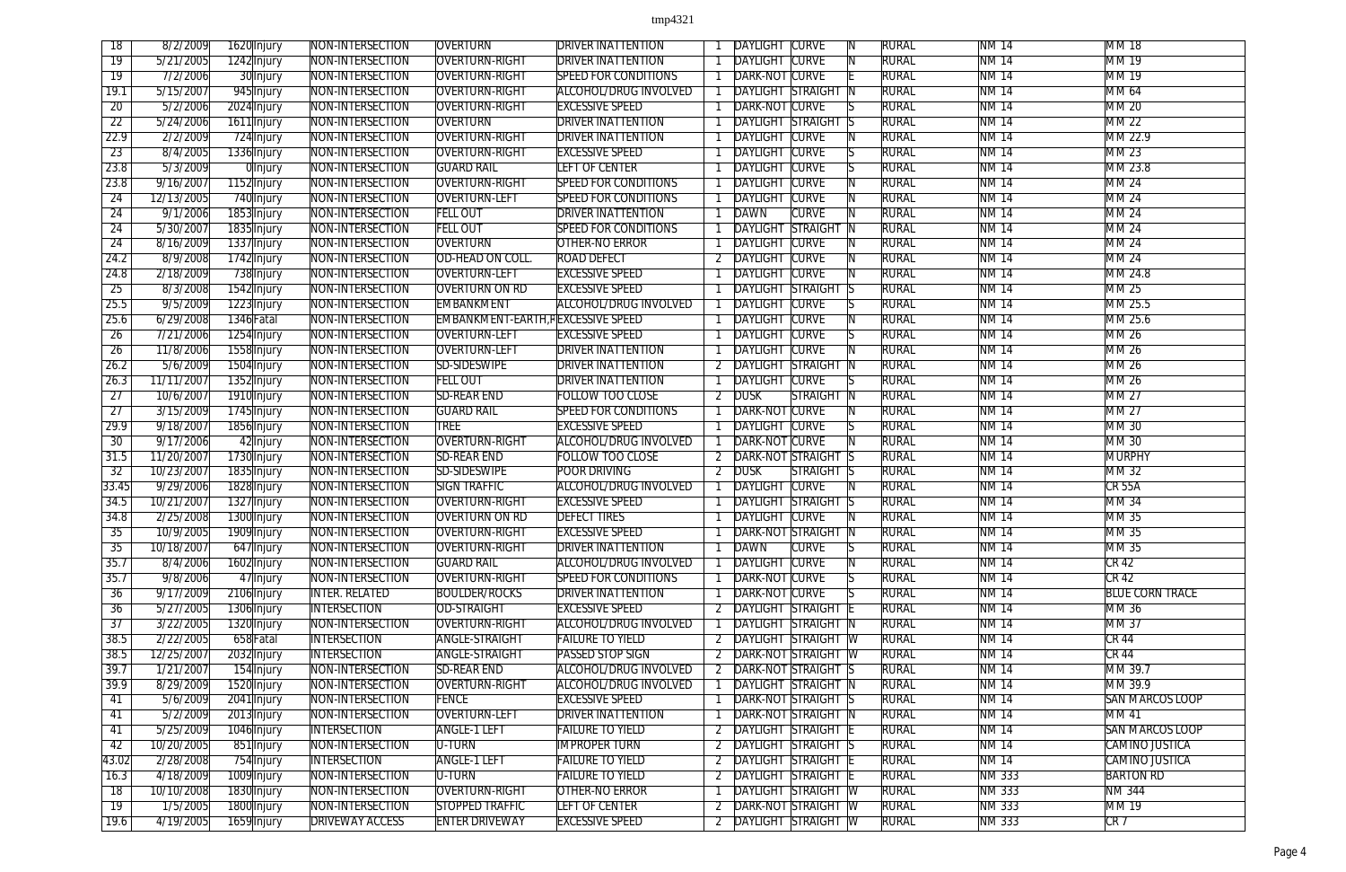| 18              | 8/2/2009   | 1620 Injury                | NON-INTERSECTION       | <b>OVERTURN</b>                    | <b>DRIVER INATTENTION</b>    |                | DAYLIGHT                 | <b>CURVE</b>                     | <b>RURAL</b> | <b>NM 14</b>  | <b>MM18</b>            |
|-----------------|------------|----------------------------|------------------------|------------------------------------|------------------------------|----------------|--------------------------|----------------------------------|--------------|---------------|------------------------|
| $\overline{19}$ | 5/21/2005  | 1242 Injury                | NON-INTERSECTION       | OVERTURN-RIGHT                     | <b>DRIVER INATTENTION</b>    |                | <b>DAYLIGHT CURVE</b>    |                                  | <b>RURAL</b> | <b>NM 14</b>  | MM 19                  |
| $\overline{19}$ | 7/2/2006   | 30 Injury                  | NON-INTERSECTION       | OVERTURN-RIGHT                     | <b>SPEED FOR CONDITIONS</b>  |                | <b>DARK-NOT CURVE</b>    |                                  | <b>RURAL</b> | <b>NM 14</b>  | <b>MM19</b>            |
| 19.1            | 5/15/2007  | 945 Injury                 | NON-INTERSECTION       | OVERTURN-RIGHT                     | <b>ALCOHOL/DRUG INVOLVED</b> |                |                          | <b>DAYLIGHT STRAIGHT</b>         | <b>RURAL</b> | <b>NM14</b>   | <b>MM 64</b>           |
| $\overline{20}$ | 5/2/2006   | 2024 Injury                | NON-INTERSECTION       | OVERTURN-RIGHT                     | <b>EXCESSIVE SPEED</b>       |                | DARK-NOT CURVE           |                                  | <b>RURAL</b> | <b>NM14</b>   | <b>MM 20</b>           |
| $\overline{22}$ | 5/24/2006  | 1611 Injury                | NON-INTERSECTION       | <b>OVERTURN</b>                    | <b>DRIVER INATTENTION</b>    |                |                          | <b>DAYLIGHT STRAIGHT</b>         | <b>RURAL</b> | <b>NM14</b>   | <b>MM22</b>            |
| 22.9            | 2/2/2009   | 724 Injury                 | NON-INTERSECTION       | OVERTURN-RIGHT                     | <b>DRIVER INATTENTION</b>    |                | <b>DAYLIGHT CURVE</b>    |                                  | <b>RURAL</b> | <b>NM 14</b>  | MM 22.9                |
| 23              | 8/4/2005   | 1336 Injury                | NON-INTERSECTION       | OVERTURN-RIGHT                     | <b>EXCESSIVE SPEED</b>       |                | <b>DAYLIGHT CURVE</b>    |                                  | RURAL        | NM 14         | MM23                   |
| 23.8            | 5/3/2009   | 0 Injury                   | NON-INTERSECTION       | <b>GUARD RAIL</b>                  | <b>LEFT OF CENTER</b>        |                | DAYLIGHT CURVE           |                                  | <b>RURAL</b> | <b>NM14</b>   | MM 23.8                |
| 23.8            | 9/16/2007  | 1152 Injury                | NON-INTERSECTION       | OVERTURN-RIGHT                     | <b>SPEED FOR CONDITIONS</b>  |                | <b>DAYLIGHT CURVE</b>    |                                  | <b>RURAL</b> | <b>NM14</b>   | <b>MM 24</b>           |
| $\overline{24}$ | 12/13/2005 | 740 Injury                 | NON-INTERSECTION       | <b>OVERTURN-LEFT</b>               | <b>SPEED FOR CONDITIONS</b>  |                | <b>DAYLIGHT CURVE</b>    |                                  | <b>RURAL</b> | <b>NM14</b>   | <b>MM 24</b>           |
| $\overline{24}$ | 9/1/2006   | 1853 Injury                | NON-INTERSECTION       | <b>FELL OUT</b>                    | <b>DRIVER INATTENTION</b>    |                | DAWN                     | <b>CURVE</b>                     | <b>RURAL</b> | <b>NM14</b>   | <b>MM 24</b>           |
| 24              | 5/30/2007  | 1835 Injury                | NON-INTERSECTION       | <b>FELL OUT</b>                    | <b>SPEED FOR CONDITIONS</b>  |                | <b>DAYLIGHT</b>          | <b>STRAIGHT</b><br>-IN           | <b>RURAL</b> | <b>NM 14</b>  | MM24                   |
| 24              | 8/16/2009  | 1337 Injury                | NON-INTERSECTION       | <b>OVERTURN</b>                    | OTHER-NO ERROR               |                | <b>DAYLIGHT CURVE</b>    |                                  | <b>RURAL</b> | <b>NM 14</b>  | <b>MM 24</b>           |
| 24.2            | 8/9/2008   | 1742 Injury                | NON-INTERSECTION       | OD-HEAD ON COLL.                   | <b>ROAD DEFECT</b>           |                | DAYLIGHT CURVE           |                                  | <b>RURAL</b> | <b>NM 14</b>  | <b>MM 24</b>           |
| 24.8            | 2/18/2009  | 738 Injury                 | NON-INTERSECTION       | <b>OVERTURN-LEFT</b>               | <b>EXCESSIVE SPEED</b>       |                | <b>DAYLIGHT CURVE</b>    |                                  | <b>RURAL</b> | <b>NM 14</b>  | MM 24.8                |
| $\overline{25}$ | 8/3/2008   | 1542 Injury                | NON-INTERSECTION       | <b>OVERTURN ON RD</b>              | <b>EXCESSIVE SPEED</b>       |                |                          | <b>DAYLIGHT STRAIGHT</b>         | <b>RURAL</b> | <b>NM14</b>   | MM 25                  |
| 25.5            | 9/5/2009   | 1223 Injury                | NON-INTERSECTION       | EMBANKMENT                         | ALCOHOL/DRUG INVOLVED        |                | <b>DAYLIGHT CURVE</b>    |                                  | <b>RURAL</b> | <b>NM 14</b>  | MM 25.5                |
|                 |            |                            |                        | EMBANKMENT-EARTH, REXCESSIVE SPEED |                              |                |                          |                                  |              | <b>NM14</b>   |                        |
| 25.6            | 6/29/2008  | 1346 Fatal                 | NON-INTERSECTION       |                                    |                              |                | <b>DAYLIGHT CURVE</b>    |                                  | <b>RURAL</b> |               | MM 25.6                |
| $\overline{26}$ | 7/21/2006  | 1254 Injury                | NON-INTERSECTION       | <b>OVERTURN-LEFT</b>               | <b>EXCESSIVE SPEED</b>       |                | <b>DAYLIGHT CURVE</b>    |                                  | <b>RURAL</b> | <b>NM 14</b>  | <b>MM 26</b>           |
| 26              | 11/8/2006  | 1558 Injury                | NON-INTERSECTION       | <b>OVERTURN-LEFT</b>               | <b>DRIVER INATTENTION</b>    |                | <b>DAYLIGHT CURVE</b>    |                                  | RURAL        | NM 14         | MM 26                  |
| 26.2            | 5/6/2009   | 1504 Injury                | NON-INTERSECTION       | SD-SIDESWIPE                       | <b>DRIVER INATTENTION</b>    |                | <b>DAYLIGHT STRAIGHT</b> | -IN                              | <b>RURAL</b> | <b>NM 14</b>  | MM 26                  |
| 26.3            | 11/11/2007 | 1352 Injury                | NON-INTERSECTION       | <b>FELL OUT</b>                    | <b>DRIVER INATTENTION</b>    |                | <b>DAYLIGHT CURVE</b>    |                                  | <b>RURAL</b> | <b>NM 14</b>  | <b>MM 26</b>           |
| $\overline{27}$ | 10/6/2007  | 1910 Injury                | NON-INTERSECTION       | <b>SD-REAR END</b>                 | <b>FOLLOW TOO CLOSE</b>      |                | <b>DUSK</b>              | <b>STRAIGHT</b>                  | <b>RURAL</b> | <b>NM14</b>   | <b>MM 27</b>           |
| $\overline{27}$ | 3/15/2009  | 1745 Injury                | NON-INTERSECTION       | <b>GUARD RAIL</b>                  | <b>SPEED FOR CONDITIONS</b>  |                | <b>DARK-NOT CURVE</b>    |                                  | <b>RURAL</b> | <b>NM14</b>   | <b>MM 27</b>           |
| 29.9            | 9/18/2007  | 1856 Injury                | NON-INTERSECTION       | <b>TREE</b>                        | <b>EXCESSIVE SPEED</b>       |                | <b>DAYLIGHT CURVE</b>    |                                  | <b>RURAL</b> | <b>NM14</b>   | <b>MM30</b>            |
| 30              | 9/17/2006  | 42 Injury                  | NON-INTERSECTION       | OVERTURN-RIGHT                     | <b>ALCOHOL/DRUG INVOLVED</b> |                | <b>DARK-NOT CURVE</b>    |                                  | <b>RURAL</b> | <b>NM 14</b>  | MM 30                  |
| 31.5            | 11/20/2007 | 1730 Injury                | NON-INTERSECTION       | <b>SD-REAR END</b>                 | <b>FOLLOW TOO CLOSE</b>      |                | <b>DARK-NOT STRAIGHT</b> | - IS                             | <b>RURAL</b> | <b>NM 14</b>  | MURPHY                 |
| $\overline{32}$ | 10/23/2007 | 1835 Injury                | NON-INTERSECTION       | SD-SIDESWIPE                       | <b>POOR DRIVING</b>          |                | 2 DUSK                   | <b>STRAIGHT</b><br>-15           | <b>RURAL</b> | <b>NM14</b>   | MM 32                  |
| 33.45           | 9/29/2006  | 1828 Injury                | NON-INTERSECTION       | <b>SIGN TRAFFIC</b>                | <b>ALCOHOL/DRUG INVOLVED</b> |                | DAYLIGHT                 | <b>CURVE</b>                     | <b>RURAL</b> | <b>NM14</b>   | <b>CR 55A</b>          |
| 34.5            | 10/21/2007 | 1327 Injury                | NON-INTERSECTION       | <b>OVERTURN-RIGHT</b>              | <b>EXCESSIVE SPEED</b>       |                |                          | <b>DAYLIGHT STRAIGHT</b><br>- IS | <b>RURAL</b> | <b>NM14</b>   | <b>MM34</b>            |
| 34.8            | 2/25/2008  | 1300 Injury                | NON-INTERSECTION       | <b>OVERTURN ON RD</b>              | <b>DEFECT TIRES</b>          |                | <b>DAYLIGHT CURVE</b>    |                                  | <b>RURAL</b> | <b>NM14</b>   | <b>MM35</b>            |
| 35              | 10/9/2005  | 1909 Injury                | NON-INTERSECTION       | OVERTURN-RIGHT                     | <b>EXCESSIVE SPEED</b>       |                |                          | DARK-NOT STRAIGHT N              | <b>RURAL</b> | <b>NM 14</b>  | MM 35                  |
| 35              | 10/18/2007 | 647 Injury                 | NON-INTERSECTION       | OVERTURN-RIGHT                     | <b>DRIVER INATTENTION</b>    |                | DAWN                     | <b>CURVE</b>                     | RURAL        | NM 14         | MM 35                  |
| 35.7            | 8/4/2006   | 1602 Injury                | NON-INTERSECTION       | <b>GUARD RAIL</b>                  | <b>ALCOHOL/DRUG INVOLVED</b> |                | DAYLIGHT CURVE           |                                  | <b>RURAL</b> | <b>NM 14</b>  | $CR$ 42                |
| 35.7            | 9/8/2006   | 47 Injury                  | NON-INTERSECTION       | OVERTURN-RIGHT                     | <b>SPEED FOR CONDITIONS</b>  |                | DARK-NOT CURVE           |                                  | <b>RURAL</b> | <b>NM 14</b>  | CR <sub>42</sub>       |
| $\overline{36}$ | 9/17/2009  | 2106 Injury                | <b>INTER. RELATED</b>  | <b>BOULDER/ROCKS</b>               | <b>DRIVER INATTENTION</b>    |                | <b>DARK-NOT CURVE</b>    |                                  | <b>RURAL</b> | <b>NM14</b>   | <b>BLUE CORN TRACE</b> |
| $\overline{36}$ | 5/27/2005  | 1306 Injury                | <b>INTERSECTION</b>    | <b>OD-STRAIGHT</b>                 | <b>EXCESSIVE SPEED</b>       |                |                          | 2 DAYLIGHT STRAIGHT              | <b>RURAL</b> | <b>NM 14</b>  | <b>MM36</b>            |
| 37              | 3/22/2005  | 1320 Injury                | NON-INTERSECTION       | OVERTURN-RIGHT                     | <b>ALCOHOL/DRUG INVOLVED</b> |                |                          | <b>DAYLIGHT STRAIGHT N</b>       | <b>RURAL</b> | <b>NM 14</b>  | MM37                   |
| 38.5            | 2/22/2005  | 658 Fatal                  | <b>INTERSECTION</b>    | <b>ANGLE-STRAIGHT</b>              | <b>FAILURE TO YIELD</b>      | 2              |                          | <b>DAYLIGHT STRAIGHT W</b>       | <b>RURAL</b> | <b>NM 14</b>  | CR44                   |
| 38.5            | 12/25/2007 | 2032 Injury                | <b>INTERSECTION</b>    | <b>ANGLE-STRAIGHT</b>              | <b>PASSED STOP SIGN</b>      |                |                          | <b>DARK-NOT STRAIGHT W</b>       | <b>RURAL</b> | <b>NM 14</b>  | $CR$ 44                |
| 39.7            | 1/21/2007  | 154 Injury                 | NON-INTERSECTION       | <b>SD-REAR END</b>                 | <b>ALCOHOL/DRUG INVOLVED</b> |                |                          | 2 DARK-NOT STRAIGHT S            | <b>RURAL</b> | <b>NM14</b>   | MM 39.7                |
| 39.9            | 8/29/2009  | 1520 Injury                | NON-INTERSECTION       | OVERTURN-RIGHT                     | <b>ALCOHOL/DRUG INVOLVED</b> |                |                          | <b>DAYLIGHT STRAIGHT N</b>       | <b>RURAL</b> | <b>NM 14</b>  | MM 39.9                |
| 41              | 5/6/2009   | 2041 Injury                | NON-INTERSECTION       | <b>FENCE</b>                       | <b>EXCESSIVE SPEED</b>       |                |                          | <b>DARK-NOT STRAIGHT S</b>       | <b>RURAL</b> | <b>NM 14</b>  | <b>SAN MARCOS LOOP</b> |
| 41              | 5/2/2009   |                            | NON-INTERSECTION       | <b>OVERTURN-LEFT</b>               | <b>DRIVER INATTENTION</b>    |                |                          | <b>DARK-NOT STRAIGHT N</b>       | <b>RURAL</b> | <b>NM14</b>   | <b>MM41</b>            |
| 41              | 5/25/2009  | 2013 Injury<br>1046 Injury | <b>INTERSECTION</b>    | <b>ANGLE-1 LEFT</b>                | <b>FAILURE TO YIELD</b>      |                |                          | <b>DAYLIGHT STRAIGHT E</b>       | <b>RURAL</b> | NM 14         | <b>SAN MARCOS LOOP</b> |
| -42             | 10/20/2005 |                            | NON-INTERSECTION       | <b>U-TURN</b>                      | <b>IMPROPER TURN</b>         |                |                          | 2 DAYLIGHT STRAIGHT S            | RURAL        | NM 14         | CAMINO JUSTICA         |
|                 |            | 851 Injury                 | <b>INTERSECTION</b>    | <b>ANGLE-1 LEFT</b>                |                              |                |                          | 2 DAYLIGHT STRAIGHT E            |              | <b>NM 14</b>  |                        |
| 43.02           | 2/28/2008  | 754 Injury                 |                        |                                    | <b>FAILURE TO YIELD</b>      |                |                          |                                  | <b>RURAL</b> |               | CAMINO JUSTICA         |
| 16.3            | 4/18/2009  | 1009 Injury                | NON-INTERSECTION       | U-TURN                             | <b>FAILURE TO YIELD</b>      |                |                          | <b>DAYLIGHT STRAIGHT E</b>       | <b>RURAL</b> | <b>NM 333</b> | <b>BARTON RD</b>       |
| 18              | 10/10/2008 | 1830 Injury                | NON-INTERSECTION       | OVERTURN-RIGHT                     | <b>OTHER-NO ERROR</b>        |                |                          | <b>DAYLIGHT STRAIGHT W</b>       | <b>RURAL</b> | <b>NM 333</b> | <b>NM 344</b>          |
| $\overline{19}$ | 7/5/2005   | 1800 Injury                | NON-INTERSECTION       | <b>STOPPED TRAFFIC</b>             | <b>LEFT OF CENTER</b>        | $\overline{2}$ |                          | <b>DARK-NOT STRAIGHT W</b>       | <b>RURAL</b> | <b>NM 333</b> | <b>MM19</b>            |
| 19.6            | 4/19/2005  | 1659 Injury                | <b>DRIVEWAY ACCESS</b> | <b>ENTER DRIVEWAY</b>              | <b>EXCESSIVE SPEED</b>       | 2              |                          | <b>DAYLIGHT STRAIGHT W</b>       | <b>RURAL</b> | NM 333        | CR7                    |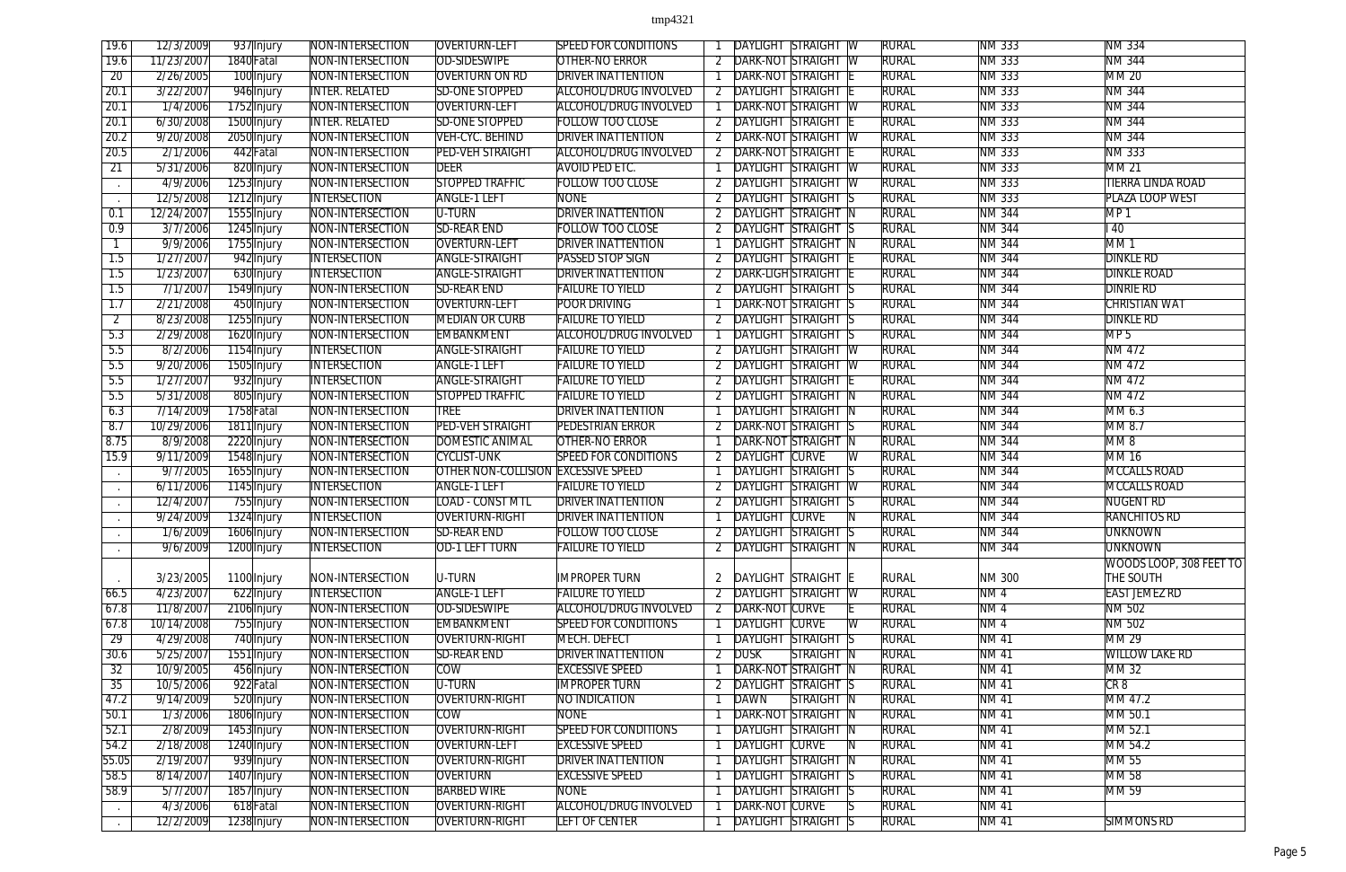| 19.6             | 12/3/2009  | 937 Injury  | NON-INTERSECTION      | <b>OVERTURN-LEFT</b>                | <b>SPEED FOR CONDITIONS</b>  |                | DAYLIGHT STRAIGHT<br>-W                                | <b>RURAL</b> | <b>NM 333</b>  | <b>NM 334</b>            |
|------------------|------------|-------------|-----------------------|-------------------------------------|------------------------------|----------------|--------------------------------------------------------|--------------|----------------|--------------------------|
| 19.6             | 11/23/2007 | 1840 Fatal  | NON-INTERSECTION      | OD-SIDESWIPE                        | OTHER-NO ERROR               |                | <b>DARK-NOT STRAIGHT W</b>                             | <b>RURAL</b> | NM 333         | <b>NM 344</b>            |
| $\overline{20}$  | 2/26/2005  | 100 Injury  | NON-INTERSECTION      | <b>OVERTURN ON RD</b>               | <b>DRIVER INATTENTION</b>    |                | <b>DARK-NOT STRAIGHT</b>                               | <b>RURAL</b> | NM 333         | MM 20                    |
| 20.1             | 3/22/2007  | 946 Injury  | <b>INTER. RELATED</b> | <b>SD-ONE STOPPED</b>               | <b>ALCOHOL/DRUG INVOLVED</b> |                | <b>DAYLIGHT STRAIGHT</b>                               | <b>RURAL</b> | NM 333         | <b>NM 344</b>            |
| 20.1             | 1/4/2006   | 1752 Injury | NON-INTERSECTION      | <b>OVERTURN-LEFT</b>                | ALCOHOL/DRUG INVOLVED        |                | <b>DARK-NOT STRAIGHT</b><br>⊺ W                        | <b>RURAL</b> | NM 333         | <b>NM 344</b>            |
| 20.1             | 6/30/2008  | 1500 Injury | <b>INTER. RELATED</b> | <b>SD-ONE STOPPED</b>               | <b>FOLLOW TOO CLOSE</b>      |                | <b>DAYLIGHT STRAIGHT</b>                               | <b>RURAL</b> | <b>NM 333</b>  | <b>NM 344</b>            |
| 20.2             | 9/20/2008  | 2050 Injury | NON-INTERSECTION      | VEH-CYC. BEHIND                     | <b>DRIVER INATTENTION</b>    |                | <b>DARK-NOT STRAIGHT</b><br>- IW                       | <b>RURAL</b> | <b>NM 333</b>  | <b>NM 344</b>            |
| 20.5             | 2/1/2006   | 442 Fatal   | NON-INTERSECTION      | <b>PED-VEH STRAIGHT</b>             | ALCOHOL/DRUG INVOLVED        | 2              | <b>DARK-NOT STRAIGHT</b>                               | <b>RURAL</b> | <b>NM 333</b>  | <b>NM 333</b>            |
| 21               | 5/31/2006  | 820 Injury  | NON-INTERSECTION      | <b>DEER</b>                         | <b>AVOID PED ETC.</b>        |                | <b>DAYLIGHT STRAIGHT</b><br>$\sqrt{2}$                 | <b>RURAL</b> | NM 333         | <b>MM 21</b>             |
| $\sim$           | 4/9/2006   | 1253 Injury | NON-INTERSECTION      | <b>STOPPED TRAFFIC</b>              | <b>FOLLOW TOO CLOSE</b>      |                | <b>DAYLIGHT STRAIGHT W</b>                             | <b>RURAL</b> | NM 333         | <b>TIERRA LINDA ROAD</b> |
|                  | 12/5/2008  | 1212 Injury | <b>INTERSECTION</b>   | <b>ANGLE-1 LEFT</b>                 | <b>NONE</b>                  |                | <b>DAYLIGHT STRAIGHT</b>                               | <b>RURAL</b> | NM 333         | PLAZA LOOP WEST          |
| 0.1              | 12/24/2007 | 1555 Injury | NON-INTERSECTION      | U-TURN                              | <b>DRIVER INATTENTION</b>    |                | DAYLIGHT STRAIGHT<br>-IN                               | <b>RURAL</b> | <b>NM 344</b>  | MP <sub>1</sub>          |
| 0.9              | 3/7/2006   | 1245 Injury | NON-INTERSECTION      | <b>SD-REAR END</b>                  | <b>FOLLOW TOO CLOSE</b>      |                | <b>DAYLIGHT STRAIGHT S</b>                             | <b>RURAL</b> | <b>NM 344</b>  | $\overline{140}$         |
|                  | 9/9/2006   | 1755 Injury | NON-INTERSECTION      | <b>OVERTURN-LEFT</b>                | <b>DRIVER INATTENTION</b>    |                | <b>DAYLIGHT STRAIGHT</b>                               | <b>RURAL</b> | <b>NM 344</b>  | MM <sub>1</sub>          |
| 1.5              | 1/27/2007  | 942 Injury  | <b>INTERSECTION</b>   | <b>ANGLE-STRAIGHT</b>               | <b>PASSED STOP SIGN</b>      |                | <b>DAYLIGHT STRAIGHT</b>                               | <b>RURAL</b> | NM 344         | <b>DINKLE RD</b>         |
| $\overline{1.5}$ | 1/23/2007  | 630 Injury  | <b>INTERSECTION</b>   | <b>ANGLE-STRAIGHT</b>               | <b>DRIVER INATTENTION</b>    |                | DARK-LIGH STRAIGHT                                     | <b>RURAL</b> | <b>NM 344</b>  | <b>DINKLE ROAD</b>       |
| $\overline{1.5}$ | 7/1/2007   | 1549 Injury | NON-INTERSECTION      | <b>SD-REAR END</b>                  | <b>FAILURE TO YIELD</b>      |                | DAYLIGHT STRAIGHT                                      | <b>RURAL</b> | <b>NM 344</b>  | <b>DINRIE RD</b>         |
| $\overline{1.7}$ | 2/21/2008  | 450 Injury  | NON-INTERSECTION      | OVERTURN-LEFT                       | <b>POOR DRIVING</b>          |                | <b>DARK-NOT STRAIGHT</b>                               | <b>RURAL</b> | <b>NM 344</b>  | <b>CHRISTIAN WAT</b>     |
| $\overline{2}$   | 8/23/2008  |             | NON-INTERSECTION      | <b>MEDIAN OR CURB</b>               | <b>FAILURE TO YIELD</b>      |                | <b>DAYLIGHT STRAIGHT</b>                               | <b>RURAL</b> | <b>NM 344</b>  | <b>DINKLE RD</b>         |
| 5.3              | 2/29/2008  | 1255 Injury | NON-INTERSECTION      | EMBANKMENT                          | <b>ALCOHOL/DRUG INVOLVED</b> |                | <b>DAYLIGHT STRAIGHT</b>                               | <b>RURAL</b> | <b>NM 344</b>  | MP <sub>5</sub>          |
| 5.5              |            | 1620 Injury |                       | <b>ANGLE-STRAIGHT</b>               |                              |                |                                                        |              |                | NM 472                   |
| 5.5              | 8/2/2006   | 1154 Injury | <b>INTERSECTION</b>   | <b>ANGLE-1 LEFT</b>                 | <b>FAILURE TO YIELD</b>      | 2              | <b>DAYLIGHT STRAIGHT W</b><br><b>DAYLIGHT STRAIGHT</b> | <b>RURAL</b> | <b>NM 344</b>  | NM 472                   |
|                  | 9/20/2006  | 1505 Injury | <b>INTERSECTION</b>   |                                     | <b>FAILURE TO YIELD</b>      |                | - IW                                                   | <b>RURAL</b> | <b>NM 344</b>  |                          |
| 5.5              | 1/27/2007  | 932 Injury  | <b>INTERSECTION</b>   | <b>ANGLE-STRAIGHT</b>               | <b>FAILURE TO YIELD</b>      |                | <b>DAYLIGHT STRAIGHT</b>                               | rural        | <b>NM 344</b>  | <b>NM 472</b>            |
| 5.5              | 5/31/2008  | 805 Injury  | NON-INTERSECTION      | <b>STOPPED TRAFFIC</b>              | <b>FAILURE TO YIELD</b>      |                | <b>DAYLIGHT STRAIGHT</b>                               | <b>RURAL</b> | <b>NM 344</b>  | <b>NM 472</b>            |
| 6.3              | 7/14/2009  | 1758 Fatal  | NON-INTERSECTION      | <b>TREE</b>                         | <b>DRIVER INATTENTION</b>    |                | <b>DAYLIGHT STRAIGHT</b><br>-IN                        | <b>RURAL</b> | <b>NM 344</b>  | MM 6.3                   |
| 8.7              | 10/29/2006 | 1811 Injury | NON-INTERSECTION      | <b>PED-VEH STRAIGHT</b>             | <b>PEDESTRIAN ERROR</b>      |                | <b>DARK-NOT STRAIGHT</b>                               | <b>RURAL</b> | <b>NM 344</b>  | MM 8.7                   |
| 8.75             | 8/9/2008   | 2220 Injury | NON-INTERSECTION      | <b>DOMESTIC ANIMAL</b>              | <b>OTHER-NO ERROR</b>        |                | <b>DARK-NOT STRAIGHT</b>                               | Rural        | <b>NM 344</b>  | MM8                      |
| 15.9             | 9/11/2009  | 1548 Injury | NON-INTERSECTION      | <b>CYCLIST-UNK</b>                  | <b>SPEED FOR CONDITIONS</b>  |                | <b>DAYLIGHT CURVE</b>                                  | <b>RURAL</b> | NM 344         | <b>MM16</b>              |
| $\sim$           | 9/7/2005   | 1655 Injury | NON-INTERSECTION      | OTHER NON-COLLISION EXCESSIVE SPEED |                              |                | <b>DAYLIGHT STRAIGHT</b><br>15                         | <b>RURAL</b> | <b>NM 344</b>  | <b>MCCALLS ROAD</b>      |
| $\sim$           | 6/11/2006  | 1145 Injury | <b>INTERSECTION</b>   | <b>ANGLE-1 LEFT</b>                 | <b>FAILURE TO YIELD</b>      |                | DAYLIGHT STRAIGHT<br>-W                                | rural        | <b>NM 344</b>  | <b>MCCALLS ROAD</b>      |
|                  | 12/4/2007  | 755 Injury  | NON-INTERSECTION      | <b>LOAD - CONST MTL</b>             | <b>DRIVER INATTENTION</b>    |                | <b>DAYLIGHT STRAIGHT</b><br>15                         | <b>RURAL</b> | <b>NM 344</b>  | NUGENT RD                |
|                  | 9/24/2009  | 1324 Injury | <b>INTERSECTION</b>   | <b>OVERTURN-RIGHT</b>               | <b>DRIVER INATTENTION</b>    |                | <b>DAYLIGHT CURVE</b>                                  | <b>RURAL</b> | <b>NM 344</b>  | <b>RANCHITOS RD</b>      |
|                  | 1/6/2009   | 1606 Injury | NON-INTERSECTION      | <b>SD-REAR END</b>                  | <b>FOLLOW TOO CLOSE</b>      |                | DAYLIGHT STRAIGHT S                                    | <b>RURAL</b> | <b>NM 344</b>  | <b>UNKNOWN</b>           |
|                  | 9/6/2009   | 1200 Injury | <b>INTERSECTION</b>   | OD-1 LEFT TURN                      | <b>FAILURE TO YIELD</b>      |                | DAYLIGHT STRAIGHT N                                    | <b>RURAL</b> | <b>NM 344</b>  | <b>UNKNOWN</b>           |
|                  |            |             |                       |                                     |                              |                |                                                        |              |                | WOODS LOOP, 308 FEET TO  |
|                  | 3/23/2005  | 1100 Injury | NON-INTERSECTION      | U-TURN                              | <b>IMPROPER TURN</b>         | 2              | DAYLIGHT STRAIGHT E                                    | <b>RURAL</b> | NM 300         | THE SOUTH                |
| 66.5             | 4/23/2007  | 622 Injury  | <b>INTERSECTION</b>   | <b>ANGLE-1 LEFT</b>                 | <b>FAILURE TO YIELD</b>      |                | <b>DAYLIGHT STRAIGHT</b><br>$\overline{\mathsf{W}}$    | <b>RURAL</b> | NM4            | <b>EAST JEMEZ RD</b>     |
| 67.8             | 11/8/2007  | 2106 Injury | NON-INTERSECTION      | <b>OD-SIDESWIPE</b>                 | ALCOHOL/DRUG INVOLVED        |                | DARK-NOT CURVE                                         | <b>RURAL</b> | NM4            | <b>NM 502</b>            |
| 67.8             | 10/14/2008 | 755 Injury  | NON-INTERSECTION      | EMBANKMENT                          | <b>SPEED FOR CONDITIONS</b>  |                | <b>DAYLIGHT CURVE</b>                                  | <b>RURAL</b> | N <sub>M</sub> | <b>NM 502</b>            |
| 29               | 4/29/2008  | 740 Injury  | NON-INTERSECTION      | <b>OVERTURN-RIGHT</b>               | MECH. DEFECT                 |                | <b>DAYLIGHT STRAIGHT</b>                               | <b>RURAL</b> | <b>NM 41</b>   | <b>MM 29</b>             |
| 30.6             | 5/25/2007  | 1551 Injury | NON-INTERSECTION      | <b>SD-REAR END</b>                  | <b>DRIVER INATTENTION</b>    | $\overline{2}$ | <b>DUSK</b><br>STRAIGHT N                              | <b>RURAL</b> | <b>NM 41</b>   | <b>WILLOW LAKE RD</b>    |
| $\overline{32}$  | 10/9/2005  | 456 Injury  | NON-INTERSECTION      | <b>COW</b>                          | <b>EXCESSIVE SPEED</b>       |                | DARK-NOT STRAIGHT N                                    | <b>RURAL</b> | <b>NM41</b>    | MM 32                    |
| $\overline{35}$  | 10/5/2006  | 922 Fatal   | NON-INTERSECTION      | U-TURN                              | <b>IMPROPER TURN</b>         |                | <b>DAYLIGHT STRAIGHT S</b>                             | <b>RURAL</b> | <b>NM41</b>    | CRB                      |
| 47.2             | 9/14/2009  | 520 Injury  | NON-INTERSECTION      | <b>OVERTURN-RIGHT</b>               | NO INDICATION                |                | <b>DAWN</b><br><b>STRAIGHT N</b>                       | <b>RURAL</b> | <b>NM41</b>    | MM 47.2                  |
| 50.1             | 1/3/2006   | 1806 Injury | NON-INTERSECTION      | <b>COW</b>                          | <b>NONE</b>                  |                | <b>DARK-NOT STRAIGHT</b><br>-IN                        | <b>RURAL</b> | <b>NM 41</b>   | MM 50.1                  |
| 52.1             | 2/8/2009   | 1453 Injury | NON-INTERSECTION      | <b>OVERTURN-RIGHT</b>               | <b>SPEED FOR CONDITIONS</b>  |                | <b>DAYLIGHT STRAIGHT N</b>                             | <b>RURAL</b> | <b>NM41</b>    | MM 52.1                  |
| 54.2             | 2/18/2008  | 1240 Injury | NON-INTERSECTION      | <b>OVERTURN-LEFT</b>                | <b>EXCESSIVE SPEED</b>       |                | <b>DAYLIGHT CURVE</b>                                  | <b>RURAL</b> | <b>NM41</b>    | MM 54.2                  |
| 55.05            | 2/19/2007  | 939 Injury  | NON-INTERSECTION      | <b>OVERTURN-RIGHT</b>               | <b>DRIVER INATTENTION</b>    |                | <b>DAYLIGHT STRAIGHT</b><br>' IN                       | <b>RURAL</b> | <b>NM 41</b>   | MM 55                    |
| 58.5             | 8/14/2007  | 1407 Injury | NON-INTERSECTION      | OVERTURN                            | <b>EXCESSIVE SPEED</b>       |                | DAYLIGHT STRAIGHT S                                    | <b>RURAL</b> | <b>NM41</b>    | <b>MM58</b>              |
| 58.9             | 5/7/2007   | 1857 Injury | NON-INTERSECTION      | <b>BARBED WIRE</b>                  | <b>NONE</b>                  |                | <b>DAYLIGHT STRAIGHT</b>                               | <b>RURAL</b> | <b>NM41</b>    | MM 59                    |
|                  | 4/3/2006   | 618 Fatal   | NON-INTERSECTION      | <b>OVERTURN-RIGHT</b>               | ALCOHOL/DRUG INVOLVED        |                | DARK-NOT CURVE                                         | <b>RURAL</b> | <b>NM41</b>    |                          |
|                  | 12/2/2009  | 1238 Injury | NON-INTERSECTION      | <b>OVERTURN-RIGHT</b>               | <b>LEFT OF CENTER</b>        |                | <b>DAYLIGHT STRAIGHT S</b>                             | <b>RURAL</b> | <b>NM 41</b>   | <b>SIMMONS RD</b>        |
|                  |            |             |                       |                                     |                              |                |                                                        |              |                |                          |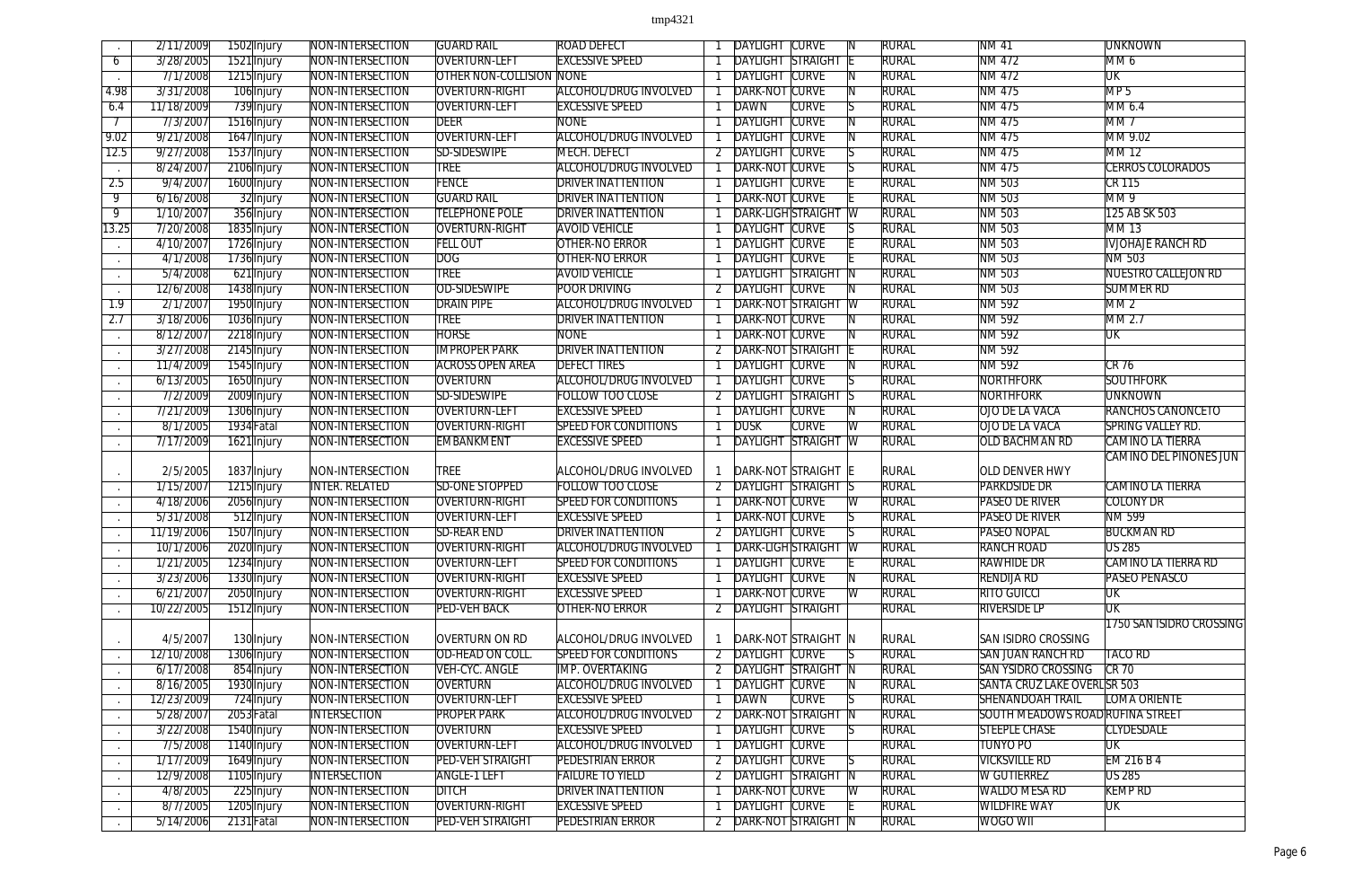|                  | 2/11/2009             | 1502 Injury               | <b>NON-INTERSECTION</b>              | <b>GUARD RAIL</b>                                | <b>ROAD DEFECT</b>                                |   | DAYLIGHT                                   | <b>CURVE</b> |                            | <b>RURAL</b> | <b>NM 41</b>                     | <b>UNKNOWN</b>                |
|------------------|-----------------------|---------------------------|--------------------------------------|--------------------------------------------------|---------------------------------------------------|---|--------------------------------------------|--------------|----------------------------|--------------|----------------------------------|-------------------------------|
| 6                | 3/28/2005             | 1521 Injury               | NON-INTERSECTION                     | <b>OVERTURN-LEFT</b>                             | <b>EXCESSIVE SPEED</b>                            |   | <b>DAYLIGHT STRAIGHT E</b>                 |              |                            | <b>RURAL</b> | NM 472                           | MM 6                          |
|                  | 7/1/2008              | 1215 Injury               | NON-INTERSECTION                     | <b>OTHER NON-COLLISION NONE</b>                  |                                                   |   | <b>DAYLIGHT CURVE</b>                      |              |                            | <b>RURAL</b> | NM 472                           | UK                            |
| 4.98             | 3/31/2008             | 106 Injury                | NON-INTERSECTION                     | OVERTURN-RIGHT                                   | <b>ALCOHOL/DRUG INVOLVED</b>                      |   | <b>DARK-NOT CURVE</b>                      |              |                            | <b>RURAL</b> | NM 475                           | MP <sub>5</sub>               |
| 6.4              | 11/18/2009            | 739 Injury                | NON-INTERSECTION                     | <b>OVERTURN-LEFT</b>                             | <b>EXCESSIVE SPEED</b>                            |   | <b>DAWN</b>                                | <b>CURVE</b> |                            | <b>RURAL</b> | NM 475                           | MM 6.4                        |
|                  | 7/3/2007              | 1516 Injury               | NON-INTERSECTION                     | <b>DEER</b>                                      | <b>NONE</b>                                       |   | <b>DAYLIGHT</b>                            | <b>CURVE</b> |                            | <b>RURAL</b> | <b>NM 475</b>                    | MM <sub>7</sub>               |
| 9.02             | 9/21/2008             | 1647 Injury               | NON-INTERSECTION                     | <b>OVERTURN-LEFT</b>                             | <b>ALCOHOL/DRUG INVOLVED</b>                      |   | <b>DAYLIGHT CURVE</b>                      |              |                            | <b>RURAL</b> | NM 475                           | MM 9.02                       |
| 12.5             | 9/27/2008             | 1537 Injury               | NON-INTERSECTION                     | SD-SIDESWIPE                                     | MECH. DEFECT                                      |   | DAYLIGHT CURVE                             |              |                            | <b>RURAL</b> | NM 475                           | <b>MM12</b>                   |
| $\sim$ $\sim$    | 8/24/2007             | 2106 Injury               | NON-INTERSECTION                     | <b>TREE</b>                                      | <b>ALCOHOL/DRUG INVOLVED</b>                      |   | <b>DARK-NOT CURVE</b>                      |              |                            | <b>RURAL</b> | NM 475                           | <b>CERROS COLORADOS</b>       |
| 2.5              | 9/4/2007              | 1600 Injury               | NON-INTERSECTION                     | <b>FENCE</b>                                     | <b>DRIVER INATTENTION</b>                         |   | <b>DAYLIGHT CURVE</b>                      |              |                            | <b>RURAL</b> | NM 503                           | <b>CR 115</b>                 |
| $\overline{9}$   | 6/16/2008             | 32 Injury                 | NON-INTERSECTION                     | <b>GUARD RAIL</b>                                | <b>DRIVER INATTENTION</b>                         |   | <b>DARK-NOT CURVE</b>                      |              |                            | <b>RURAL</b> | NM 503                           | MM9                           |
| $\overline{9}$   | 1/10/2007             | 356 Injury                | NON-INTERSECTION                     | <b>TELEPHONE POLE</b>                            | <b>DRIVER INATTENTION</b>                         |   | DARK-LIGH STRAIGHT W                       |              |                            | <b>RURAL</b> | NM 503                           | 125 AB SK 503                 |
| 13.25            | 7/20/2008             | 1835 Injury               | NON-INTERSECTION                     | <b>OVERTURN-RIGHT</b>                            | <b>AVOID VEHICLE</b>                              |   | <b>DAYLIGHT CURVE</b>                      |              |                            | <b>RURAL</b> | <b>NM 503</b>                    | <b>MM13</b>                   |
|                  | 4/10/2007             | 1726 Injury               | NON-INTERSECTION                     | <b>FELL OUT</b>                                  | <b>OTHER-NO ERROR</b>                             |   | <b>DAYLIGHT CURVE</b>                      |              |                            | <b>RURAL</b> | NM 503                           | <b>IVJOHAJE RANCH RD</b>      |
| $\sim$           | 4/1/2008              | 1736 Injury               | NON-INTERSECTION                     | DOG                                              | <b>OTHER-NO ERROR</b>                             |   | <b>DAYLIGHT CURVE</b>                      |              |                            | <b>RURAL</b> | NM 503                           | NM 503                        |
|                  | 5/4/2008              | 621 Injury                | NON-INTERSECTION                     | <b>TREE</b>                                      | <b>AVOID VEHICLE</b>                              |   | <b>DAYLIGHT STRAIGHT</b>                   |              | $\overline{\phantom{a}}$ N | <b>RURAL</b> | <b>NM 503</b>                    | <b>NUESTRO CALLEJON RD</b>    |
| $\sim$           | 12/6/2008             | 1438 Injury               | NON-INTERSECTION                     | OD-SIDESWIPE                                     | <b>POOR DRIVING</b>                               |   | <b>DAYLIGHT CURVE</b>                      |              |                            | <b>RURAL</b> | NM 503                           | <b>SUMMER RD</b>              |
| $\overline{1.9}$ | 2/1/2007              | 1950 Injury               | NON-INTERSECTION                     | <b>DRAIN PIPE</b>                                | <b>ALCOHOL/DRUG INVOLVED</b>                      |   | <b>DARK-NOT STRAIGHT W</b>                 |              |                            | <b>RURAL</b> | NM 592                           | MM2                           |
| 2.7              | 3/18/2006             | 1036 Injury               | NON-INTERSECTION                     | <b>TREE</b>                                      | <b>DRIVER INATTENTION</b>                         |   | DARK-NOT CURVE                             |              |                            | <b>RURAL</b> | NM 592                           | MM 2.7                        |
| $\sim$           | 8/12/2007             | 2218 Injury               | NON-INTERSECTION                     | <b>HORSE</b>                                     | <b>NONE</b>                                       |   | <b>DARK-NOT CURVE</b>                      |              |                            | <b>RURAL</b> | NM 592                           | UK                            |
|                  | 3/27/2008             | 2145 Injury               | NON-INTERSECTION                     | <b>IMPROPER PARK</b>                             | <b>DRIVER INATTENTION</b>                         |   | <b>DARK-NOT STRAIGHT</b>                   |              |                            | <b>RURAL</b> | NM 592                           |                               |
| $\sim$           | 11/4/2009             | 1545 Injury               | NON-INTERSECTION                     | <b>ACROSS OPEN AREA</b>                          | <b>DEFECT TIRES</b>                               |   | <b>DAYLIGHT CURVE</b>                      |              |                            | <b>RURAL</b> | NM 592                           | $CR$ 76                       |
| $\sim$           | 6/13/2005             | 1650 Injury               | NON-INTERSECTION                     | OVERTURN                                         | <b>ALCOHOL/DRUG INVOLVED</b>                      |   | <b>DAYLIGHT CURVE</b>                      |              |                            | <b>RURAL</b> | NORTHFORK                        | <b>SOUTHFORK</b>              |
| $\sim$           | 7/2/2009              | 2009 Injury               | NON-INTERSECTION                     | <b>SD-SIDESWIPE</b>                              | <b>FOLLOW TOO CLOSE</b>                           |   | DAYLIGHT STRAIGHT S                        |              |                            | <b>RURAL</b> | <b>NORTHFORK</b>                 | <b>UNKNOWN</b>                |
|                  | 7/21/2009             | 1306 Injury               | NON-INTERSECTION                     | OVERTURN-LEFT                                    | <b>EXCESSIVE SPEED</b>                            |   | <b>DAYLIGHT CURVE</b>                      |              |                            | <b>RURAL</b> | OJO DE LA VACA                   | <b>RANCHOS CANONCETO</b>      |
|                  | 8/1/2005              | 1934 Fatal                | NON-INTERSECTION                     | <b>OVERTURN-RIGHT</b>                            | <b>SPEED FOR CONDITIONS</b>                       |   | <b>DUSK</b>                                | <b>CURVE</b> | W                          | <b>RURAL</b> | OJO DE LA VACA                   | <b>SPRING VALLEY RD.</b>      |
| $\sim$           | 7/17/2009             | 1621 Injury               | NON-INTERSECTION                     | EMBANKMENT                                       | <b>EXCESSIVE SPEED</b>                            |   | <b>DAYLIGHT STRAIGHT W</b>                 |              |                            | <b>RURAL</b> | <b>OLD BACHMAN RD</b>            | <b>CAMINO LA TIERRA</b>       |
|                  |                       |                           |                                      |                                                  |                                                   |   |                                            |              |                            |              |                                  | <b>CAMINO DEL PINONES JUN</b> |
| $\sim$           | 2/5/2005              | 1837 Injury               | NON-INTERSECTION                     | <b>TREE</b>                                      | ALCOHOL/DRUG INVOLVED                             |   | DARK-NOT STRAIGHT E                        |              |                            | <b>RURAL</b> | OLD DENVER HWY                   |                               |
|                  | 1/15/2007             | 1215 Injury               | <b>INTER. RELATED</b>                | <b>SD-ONE STOPPED</b>                            | <b>FOLLOW TOO CLOSE</b>                           |   | <b>DAYLIGHT STRAIGHT S</b>                 |              |                            | <b>RURAL</b> | <b>PARKDSIDE DR</b>              | CAMINO LA TIERRA              |
|                  | 4/18/2006             | 2056 Injury               | NON-INTERSECTION                     | <b>OVERTURN-RIGHT</b>                            | <b>SPEED FOR CONDITIONS</b>                       |   | <b>DARK-NOT CURVE</b>                      |              |                            | <b>RURAL</b> | <b>PASEO DE RIVER</b>            | <b>COLONY DR</b>              |
|                  | 5/31/2008             | 512 Injury                | NON-INTERSECTION                     | <b>OVERTURN-LEFT</b>                             | <b>EXCESSIVE SPEED</b>                            |   | DARK-NOT CURVE                             |              |                            | <b>RURAL</b> | <b>PASEO DE RIVER</b>            | <b>NM 599</b>                 |
|                  | 11/19/2006            | 1507 Injury               | NON-INTERSECTION                     | <b>SD-REAR END</b>                               | <b>DRIVER INATTENTION</b>                         |   | 2 DAYLIGHT CURVE                           |              | $\overline{\mathsf{S}}$    | <b>RURAL</b> | <b>PASEO NOPAL</b>               | <b>BUCKMAN RD</b>             |
|                  | 10/1/2006             | 2020 Injury               | NON-INTERSECTION                     | <b>OVERTURN-RIGHT</b>                            | ALCOHOL/DRUG INVOLVED                             |   | <b>DARK-LIGH STRAIGHT W</b>                |              |                            | <b>RURAL</b> | <b>RANCH ROAD</b>                | <b>US 285</b>                 |
|                  | 1/21/2005             | 1234 Injury               | NON-INTERSECTION                     | <b>OVERTURN-LEFT</b>                             | <b>SPEED FOR CONDITIONS</b>                       |   | DAYLIGHT CURVE                             |              |                            | <b>RURAL</b> | <b>RAWHIDE DR</b>                | CAMINO LA TIERRA RD           |
|                  | 3/23/2006             | 1330 Injury               | NON-INTERSECTION                     | <b>OVERTURN-RIGHT</b>                            | <b>EXCESSIVE SPEED</b>                            |   | <b>DAYLIGHT CURVE</b>                      |              |                            | <b>RURAL</b> | <b>RENDIJA RD</b>                | <b>PASEO PENASCO</b>          |
| $\sim$           | 6/21/2007             | 2050 Injury               | NON-INTERSECTION                     | <b>OVERTURN-RIGHT</b>                            | <b>EXCESSIVE SPEED</b>                            |   | <b>DARK-NOT CURVE</b>                      |              | IW                         | <b>RURAL</b> | <b>RITO GUICCI</b>               | <b>UK</b>                     |
|                  | 10/22/2005            | 1512 Injury               | NON-INTERSECTION                     | <b>PED-VEH BACK</b>                              | <b>OTHER-NO ERROR</b>                             | 2 | <b>DAYLIGHT STRAIGHT</b>                   |              |                            | <b>RURAL</b> | <b>RIVERSIDE LP</b>              | ŪΚ                            |
|                  |                       |                           |                                      |                                                  |                                                   |   |                                            |              |                            |              |                                  | 1750 SAN ISIDRO CROSSING      |
| $\sim$           | 4/5/2007              | 130 Injury                | NON-INTERSECTION                     | OVERTURN ON RD                                   | ALCOHOL/DRUG INVOLVED                             |   | DARK-NOT STRAIGHT N                        |              |                            | <b>RURAL</b> | <b>SAN ISIDRO CROSSING</b>       |                               |
|                  | 12/10/2008            | 1306 Injury               | NON-INTERSECTION                     | OD-HEAD ON COLL.                                 | <b>SPEED FOR CONDITIONS</b>                       |   | 2 DAYLIGHT CURVE                           |              |                            | <b>RURAL</b> | <b>SAN JUAN RANCH RD</b>         | <b>TACO RD</b>                |
| $\sim$           | 6/17/2008             | 854 Injury                | NON-INTERSECTION                     | VEH-CYC. ANGLE                                   | <b>IMP. OVERTAKING</b>                            |   | 2 DAYLIGHT STRAIGHT N                      |              |                            | <b>RURAL</b> | <b>SAN YSIDRO CROSSING</b>       | $CR$ 70                       |
| $\sim$           | 8/16/2005             | 1930 Injury               | NON-INTERSECTION                     | OVERTURN                                         | <b>ALCOHOL/DRUG INVOLVED</b>                      |   | <b>DAYLIGHT CURVE</b>                      |              |                            | <b>RURAL</b> | SANTA CRUZ LAKE OVERL SR 503     |                               |
|                  | 12/23/2009            | 724 Injury                | NON-INTERSECTION                     | <b>OVERTURN-LEFT</b>                             | <b>EXCESSIVE SPEED</b>                            |   | <b>DAWN</b>                                | <b>CURVE</b> |                            | <b>RURAL</b> | <b>SHENANDOAH TRAIL</b>          | LOMA ORIENTE                  |
| $\sim$           | 5/28/2007             | 2053 Fatal                | <b>INTERSECTION</b>                  | <b>PROPER PARK</b>                               | ALCOHOL/DRUG INVOLVED                             | 2 | DARK-NOT STRAIGHT N                        |              |                            | <b>RURAL</b> | SOUTH MEADOWS ROAD RUFINA STREET |                               |
| $\sim$           | 3/22/2008             | 1540 Injury               | NON-INTERSECTION                     | OVERTURN                                         | <b>EXCESSIVE SPEED</b>                            |   | <b>DAYLIGHT CURVE</b>                      |              |                            | <b>RURAL</b> | <b>STEEPLE CHASE</b>             | <b>CLYDESDALE</b>             |
|                  | 7/5/2008              | 1140 Injury               | NON-INTERSECTION                     | <b>OVERTURN-LEFT</b>                             | <b>ALCOHOL/DRUG INVOLVED</b>                      |   | <b>DAYLIGHT CURVE</b>                      |              |                            | <b>RURAL</b> | <b>TUNYO PO</b>                  | UK                            |
|                  | 1/17/2009             | 1649 Injury               | NON-INTERSECTION                     | <b>PED-VEH STRAIGHT</b>                          | <b>PEDESTRIAN ERROR</b>                           |   | 2 DAYLIGHT CURVE                           |              |                            | <b>RURAL</b> | <b>VICKSVILLE RD</b>             | EM 216 B 4                    |
|                  | 12/9/2008             | 1105 Injury               | <b>INTERSECTION</b>                  | <b>ANGLE-1 LEFT</b>                              | <b>FAILURE TO YIELD</b>                           |   | <b>DAYLIGHT STRAIGHT N</b>                 |              |                            | <b>RURAL</b> | <b>W GUTIERREZ</b>               | <b>US 285</b>                 |
|                  | 4/8/2005              | 225 Injury                | NON-INTERSECTION                     | <b>DITCH</b>                                     | <b>DRIVER INATTENTION</b>                         |   | <b>DARK-NOT CURVE</b>                      |              |                            | <b>RURAL</b> | <b>WALDO MESA RD</b>             | <b>KEMP RD</b>                |
|                  | 8/7/2005<br>5/14/2006 | 1205 Injury<br>2131 Fatal | NON-INTERSECTION<br>NON-INTERSECTION | <b>OVERTURN-RIGHT</b><br><b>PED-VEH STRAIGHT</b> | <b>EXCESSIVE SPEED</b><br><b>PEDESTRIAN ERROR</b> |   | <b>DAYLIGHT CURVE</b><br>DARK-NOT STRAIGHT |              |                            | <b>RURAL</b> | <b>WILDFIRE WAY</b>              | $\overline{\text{UK}}$        |
|                  |                       |                           |                                      |                                                  |                                                   | 2 |                                            |              |                            | <b>RURAL</b> | WOGO WII                         |                               |